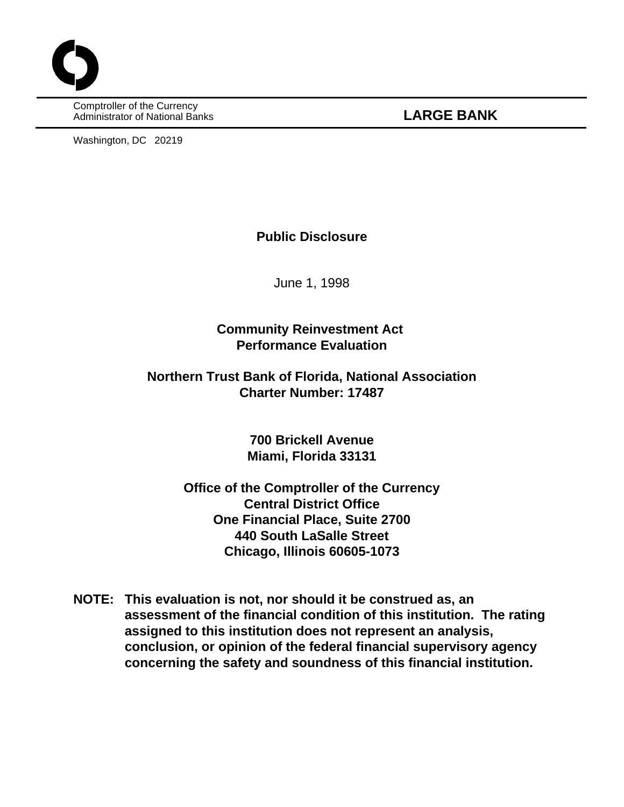Comptroller of the Currency Administrator of National Banks **LARGE BANK**

Washington, DC 20219

### **Public Disclosure**

June 1, 1998

# **Community Reinvestment Act Performance Evaluation**

# **Northern Trust Bank of Florida, National Association Charter Number: 17487**

**700 Brickell Avenue Miami, Florida 33131**

**Office of the Comptroller of the Currency Central District Office One Financial Place, Suite 2700 440 South LaSalle Street Chicago, Illinois 60605-1073**

**NOTE: This evaluation is not, nor should it be construed as, an assessment of the financial condition of this institution. The rating assigned to this institution does not represent an analysis, conclusion, or opinion of the federal financial supervisory agency concerning the safety and soundness of this financial institution.**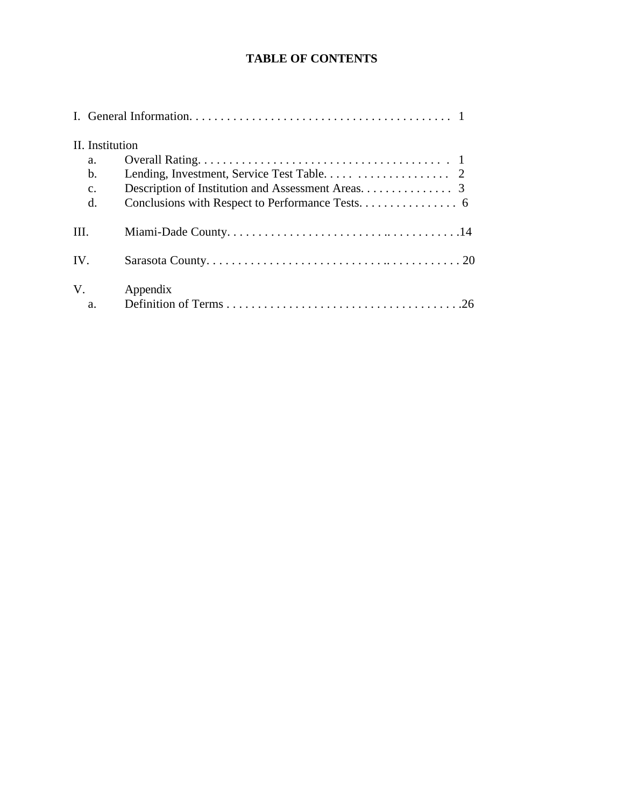# **TABLE OF CONTENTS**

|      | II. Institution<br>a.<br>b. |          |
|------|-----------------------------|----------|
|      | $\mathbf{c}$ .<br>d.        |          |
| III. |                             |          |
| IV.  |                             |          |
|      | V.<br>a.                    | Appendix |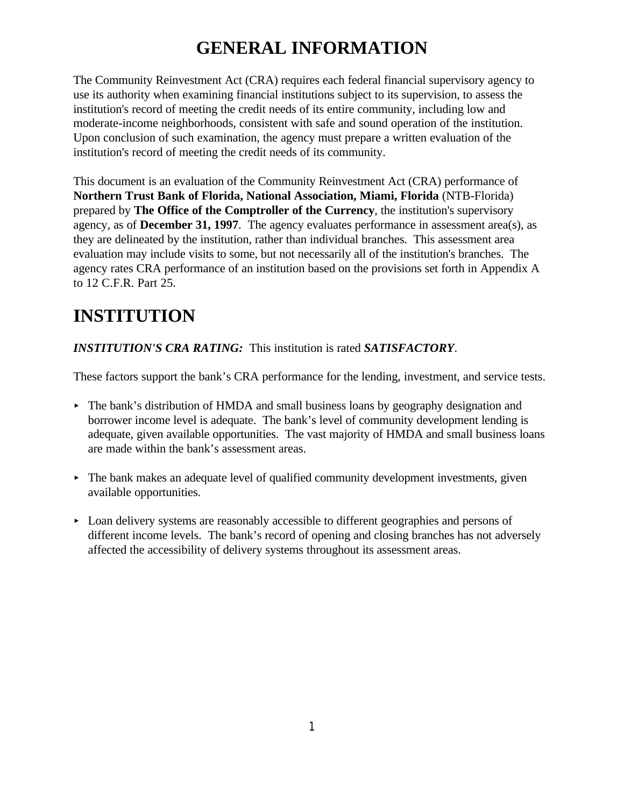# **GENERAL INFORMATION**

The Community Reinvestment Act (CRA) requires each federal financial supervisory agency to use its authority when examining financial institutions subject to its supervision, to assess the institution's record of meeting the credit needs of its entire community, including low and moderate-income neighborhoods, consistent with safe and sound operation of the institution. Upon conclusion of such examination, the agency must prepare a written evaluation of the institution's record of meeting the credit needs of its community.

This document is an evaluation of the Community Reinvestment Act (CRA) performance of **Northern Trust Bank of Florida, National Association, Miami, Florida** (NTB-Florida) prepared by **The Office of the Comptroller of the Currency**, the institution's supervisory agency, as of **December 31, 1997**. The agency evaluates performance in assessment area(s), as they are delineated by the institution, rather than individual branches. This assessment area evaluation may include visits to some, but not necessarily all of the institution's branches. The agency rates CRA performance of an institution based on the provisions set forth in Appendix A to 12 C.F.R. Part 25.

# **INSTITUTION**

## *INSTITUTION'S CRA RATING:* This institution is rated *SATISFACTORY*.

These factors support the bank's CRA performance for the lending, investment, and service tests.

- < The bank's distribution of HMDA and small business loans by geography designation and borrower income level is adequate. The bank's level of community development lending is adequate, given available opportunities. The vast majority of HMDA and small business loans are made within the bank's assessment areas.
- $\triangleright$  The bank makes an adequate level of qualified community development investments, given available opportunities.
- Loan delivery systems are reasonably accessible to different geographies and persons of different income levels. The bank's record of opening and closing branches has not adversely affected the accessibility of delivery systems throughout its assessment areas.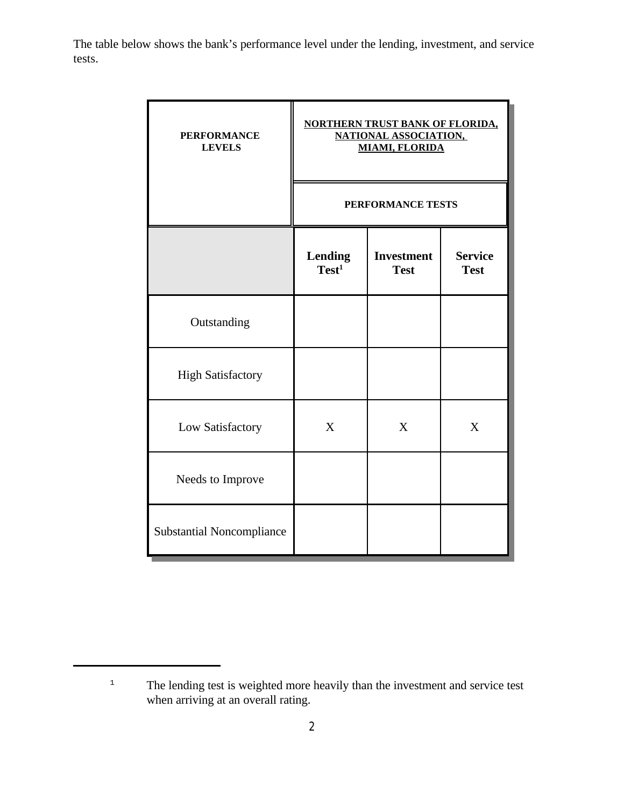The table below shows the bank's performance level under the lending, investment, and service tests.

| <b>PERFORMANCE</b><br><b>LEVELS</b> |                                     | <b>NORTHERN TRUST BANK OF FLORIDA,</b><br><b>NATIONAL ASSOCIATION,</b><br><b>MIAMI, FLORIDA</b> |                               |
|-------------------------------------|-------------------------------------|-------------------------------------------------------------------------------------------------|-------------------------------|
|                                     |                                     | PERFORMANCE TESTS                                                                               |                               |
|                                     | <b>Lending</b><br>Test <sup>1</sup> | <b>Investment</b><br><b>Test</b>                                                                | <b>Service</b><br><b>Test</b> |
| Outstanding                         |                                     |                                                                                                 |                               |
| <b>High Satisfactory</b>            |                                     |                                                                                                 |                               |
| Low Satisfactory                    | X                                   | X                                                                                               | X                             |
| Needs to Improve                    |                                     |                                                                                                 |                               |
| <b>Substantial Noncompliance</b>    |                                     |                                                                                                 |                               |

<sup>&</sup>lt;sup>1</sup> The lending test is weighted more heavily than the investment and service test when arriving at an overall rating.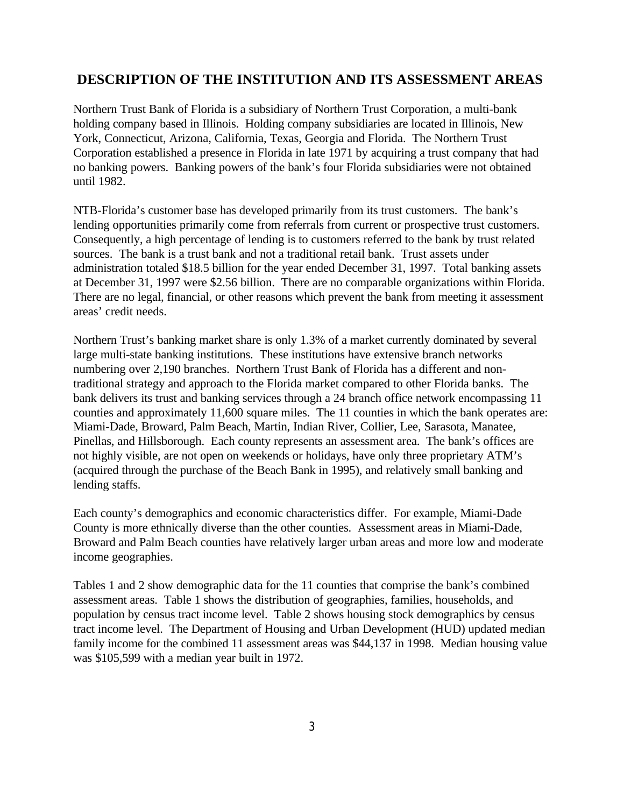### **DESCRIPTION OF THE INSTITUTION AND ITS ASSESSMENT AREAS**

Northern Trust Bank of Florida is a subsidiary of Northern Trust Corporation, a multi-bank holding company based in Illinois. Holding company subsidiaries are located in Illinois, New York, Connecticut, Arizona, California, Texas, Georgia and Florida. The Northern Trust Corporation established a presence in Florida in late 1971 by acquiring a trust company that had no banking powers. Banking powers of the bank's four Florida subsidiaries were not obtained until 1982.

NTB-Florida's customer base has developed primarily from its trust customers. The bank's lending opportunities primarily come from referrals from current or prospective trust customers. Consequently, a high percentage of lending is to customers referred to the bank by trust related sources. The bank is a trust bank and not a traditional retail bank. Trust assets under administration totaled \$18.5 billion for the year ended December 31, 1997. Total banking assets at December 31, 1997 were \$2.56 billion. There are no comparable organizations within Florida. There are no legal, financial, or other reasons which prevent the bank from meeting it assessment areas' credit needs.

Northern Trust's banking market share is only 1.3% of a market currently dominated by several large multi-state banking institutions. These institutions have extensive branch networks numbering over 2,190 branches. Northern Trust Bank of Florida has a different and nontraditional strategy and approach to the Florida market compared to other Florida banks. The bank delivers its trust and banking services through a 24 branch office network encompassing 11 counties and approximately 11,600 square miles. The 11 counties in which the bank operates are: Miami-Dade, Broward, Palm Beach, Martin, Indian River, Collier, Lee, Sarasota, Manatee, Pinellas, and Hillsborough. Each county represents an assessment area. The bank's offices are not highly visible, are not open on weekends or holidays, have only three proprietary ATM's (acquired through the purchase of the Beach Bank in 1995), and relatively small banking and lending staffs.

Each county's demographics and economic characteristics differ. For example, Miami-Dade County is more ethnically diverse than the other counties. Assessment areas in Miami-Dade, Broward and Palm Beach counties have relatively larger urban areas and more low and moderate income geographies.

Tables 1 and 2 show demographic data for the 11 counties that comprise the bank's combined assessment areas. Table 1 shows the distribution of geographies, families, households, and population by census tract income level. Table 2 shows housing stock demographics by census tract income level. The Department of Housing and Urban Development (HUD) updated median family income for the combined 11 assessment areas was \$44,137 in 1998. Median housing value was \$105,599 with a median year built in 1972.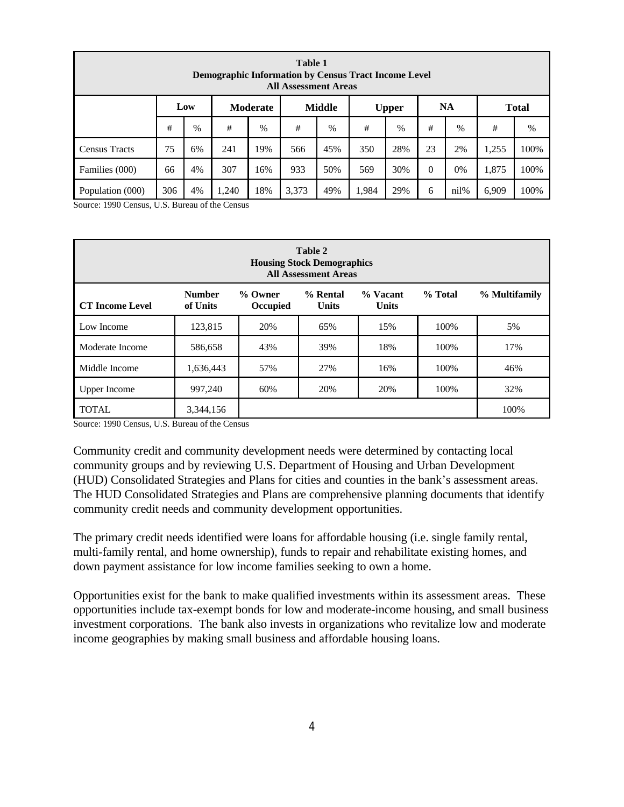|                      | <b>Table 1</b><br><b>Demographic Information by Census Tract Income Level</b><br><b>All Assessment Areas</b> |      |     |      |     |      |     |      |    |    |       |      |  |  |
|----------------------|--------------------------------------------------------------------------------------------------------------|------|-----|------|-----|------|-----|------|----|----|-------|------|--|--|
|                      | <b>NA</b><br>Low<br><b>Moderate</b><br><b>Middle</b><br><b>Total</b><br><b>Upper</b>                         |      |     |      |     |      |     |      |    |    |       |      |  |  |
|                      | #                                                                                                            | $\%$ | #   | $\%$ | #   | $\%$ | #   | $\%$ | #  | %  | #     | %    |  |  |
| <b>Census Tracts</b> | 75                                                                                                           | 6%   | 241 | 19%  | 566 | 45%  | 350 | 28%  | 23 | 2% | 1,255 | 100% |  |  |
| Families (000)       | 4%<br>307<br>933<br>30%<br>$\theta$<br>1,875<br>100%<br>50%<br>569<br>0%<br>66<br>16%                        |      |     |      |     |      |     |      |    |    |       |      |  |  |
| Population (000)     | 306<br>18%<br>3,373<br>49%<br>29%<br>nil%<br>100%<br>4%<br>1,240<br>1,984<br>6<br>6,909                      |      |     |      |     |      |     |      |    |    |       |      |  |  |

Source: 1990 Census, U.S. Bureau of the Census

|                        | <b>Table 2</b><br><b>Housing Stock Demographics</b><br><b>All Assessment Areas</b> |                            |                          |                          |         |               |  |  |  |  |  |  |  |
|------------------------|------------------------------------------------------------------------------------|----------------------------|--------------------------|--------------------------|---------|---------------|--|--|--|--|--|--|--|
| <b>CT</b> Income Level | <b>Number</b><br>of Units                                                          | % Owner<br><b>Occupied</b> | % Rental<br><b>Units</b> | % Vacant<br><b>Units</b> | % Total | % Multifamily |  |  |  |  |  |  |  |
| Low Income             | 123,815                                                                            | 20%                        | 65%                      | 15%                      | 100%    | 5%            |  |  |  |  |  |  |  |
| Moderate Income        | 586,658                                                                            | 43%                        | 39%                      | 18%                      | 100%    | 17%           |  |  |  |  |  |  |  |
| Middle Income          | 1,636,443                                                                          | 57%                        | 27%                      | 16%                      | 100%    | 46%           |  |  |  |  |  |  |  |
| <b>Upper Income</b>    | 997,240                                                                            | 60%                        | 20%                      | 20%                      | 100%    | 32%           |  |  |  |  |  |  |  |
| <b>TOTAL</b>           | 3,344,156                                                                          |                            |                          |                          |         | 100%          |  |  |  |  |  |  |  |

Source: 1990 Census, U.S. Bureau of the Census

Community credit and community development needs were determined by contacting local community groups and by reviewing U.S. Department of Housing and Urban Development (HUD) Consolidated Strategies and Plans for cities and counties in the bank's assessment areas. The HUD Consolidated Strategies and Plans are comprehensive planning documents that identify community credit needs and community development opportunities.

The primary credit needs identified were loans for affordable housing (i.e. single family rental, multi-family rental, and home ownership), funds to repair and rehabilitate existing homes, and down payment assistance for low income families seeking to own a home.

Opportunities exist for the bank to make qualified investments within its assessment areas. These opportunities include tax-exempt bonds for low and moderate-income housing, and small business investment corporations. The bank also invests in organizations who revitalize low and moderate income geographies by making small business and affordable housing loans.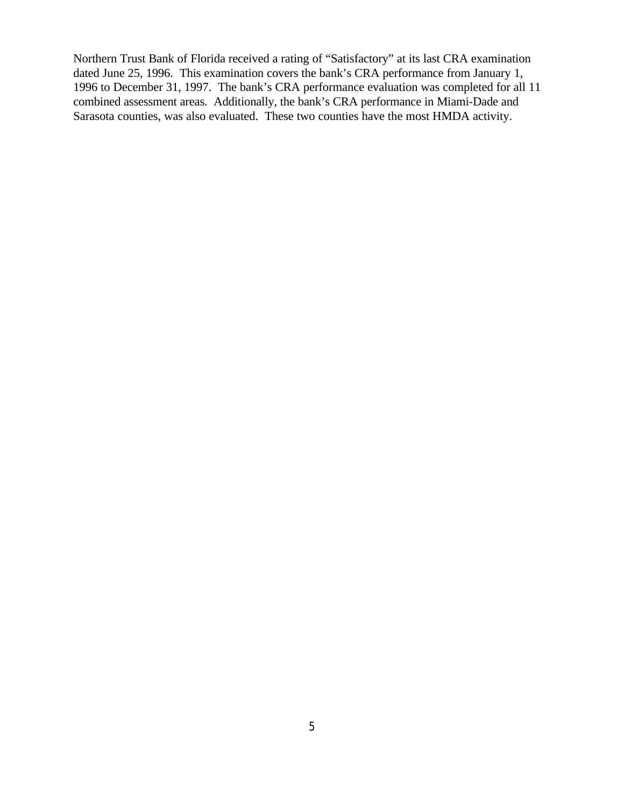Northern Trust Bank of Florida received a rating of "Satisfactory" at its last CRA examination dated June 25, 1996. This examination covers the bank's CRA performance from January 1, 1996 to December 31, 1997. The bank's CRA performance evaluation was completed for all 11 combined assessment areas. Additionally, the bank's CRA performance in Miami-Dade and Sarasota counties, was also evaluated. These two counties have the most HMDA activity.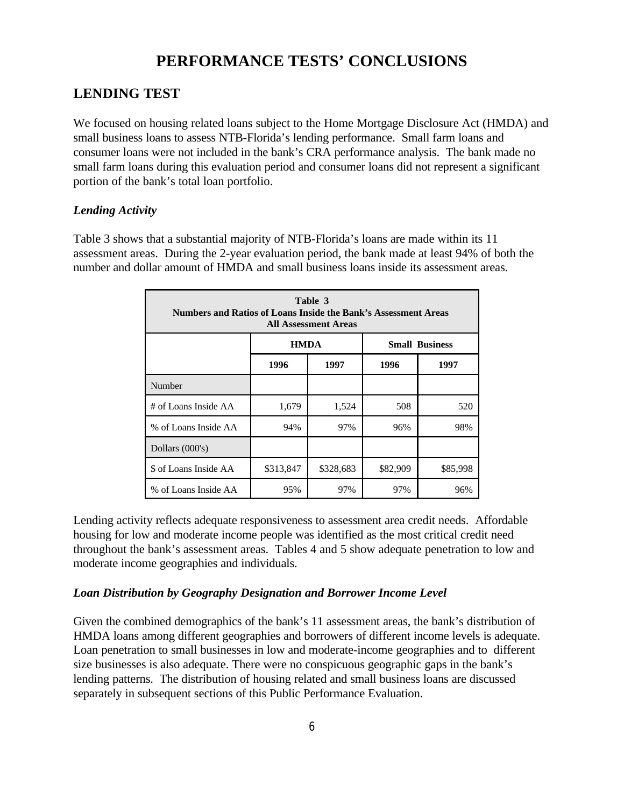# **PERFORMANCE TESTS' CONCLUSIONS**

### **LENDING TEST**

We focused on housing related loans subject to the Home Mortgage Disclosure Act (HMDA) and small business loans to assess NTB-Florida's lending performance. Small farm loans and consumer loans were not included in the bank's CRA performance analysis. The bank made no small farm loans during this evaluation period and consumer loans did not represent a significant portion of the bank's total loan portfolio.

### *Lending Activity*

Table 3 shows that a substantial majority of NTB-Florida's loans are made within its 11 assessment areas. During the 2-year evaluation period, the bank made at least 94% of both the number and dollar amount of HMDA and small business loans inside its assessment areas.

|                                                                         | Table 3<br>Numbers and Ratios of Loans Inside the Bank's Assessment Areas<br><b>All Assessment Areas</b> |                                      |     |     |  |  |  |  |  |  |  |  |  |
|-------------------------------------------------------------------------|----------------------------------------------------------------------------------------------------------|--------------------------------------|-----|-----|--|--|--|--|--|--|--|--|--|
|                                                                         |                                                                                                          | <b>HMDA</b><br><b>Small Business</b> |     |     |  |  |  |  |  |  |  |  |  |
| 1996<br>1997<br>1996<br>1997                                            |                                                                                                          |                                      |     |     |  |  |  |  |  |  |  |  |  |
| Number                                                                  |                                                                                                          |                                      |     |     |  |  |  |  |  |  |  |  |  |
| # of Loans Inside AA                                                    | 1,679                                                                                                    | 1,524                                | 508 | 520 |  |  |  |  |  |  |  |  |  |
| % of Loans Inside AA                                                    | 94%                                                                                                      | 97%                                  | 96% | 98% |  |  |  |  |  |  |  |  |  |
| Dollars (000's)                                                         |                                                                                                          |                                      |     |     |  |  |  |  |  |  |  |  |  |
| \$328,683<br>\$85,998<br>\$ of Loans Inside AA<br>\$313,847<br>\$82,909 |                                                                                                          |                                      |     |     |  |  |  |  |  |  |  |  |  |
| % of Loans Inside AA                                                    | 95%                                                                                                      | 97%                                  | 97% | 96% |  |  |  |  |  |  |  |  |  |

Lending activity reflects adequate responsiveness to assessment area credit needs. Affordable housing for low and moderate income people was identified as the most critical credit need throughout the bank's assessment areas. Tables 4 and 5 show adequate penetration to low and moderate income geographies and individuals.

### *Loan Distribution by Geography Designation and Borrower Income Level*

Given the combined demographics of the bank's 11 assessment areas, the bank's distribution of HMDA loans among different geographies and borrowers of different income levels is adequate. Loan penetration to small businesses in low and moderate-income geographies and to different size businesses is also adequate. There were no conspicuous geographic gaps in the bank's lending patterns. The distribution of housing related and small business loans are discussed separately in subsequent sections of this Public Performance Evaluation.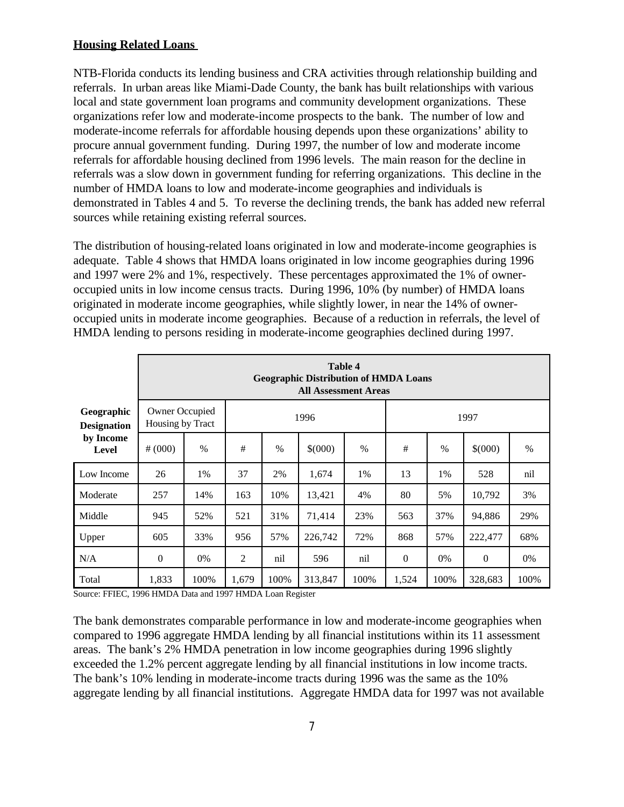### **Housing Related Loans**

NTB-Florida conducts its lending business and CRA activities through relationship building and referrals. In urban areas like Miami-Dade County, the bank has built relationships with various local and state government loan programs and community development organizations. These organizations refer low and moderate-income prospects to the bank. The number of low and moderate-income referrals for affordable housing depends upon these organizations' ability to procure annual government funding. During 1997, the number of low and moderate income referrals for affordable housing declined from 1996 levels. The main reason for the decline in referrals was a slow down in government funding for referring organizations. This decline in the number of HMDA loans to low and moderate-income geographies and individuals is demonstrated in Tables 4 and 5. To reverse the declining trends, the bank has added new referral sources while retaining existing referral sources.

The distribution of housing-related loans originated in low and moderate-income geographies is adequate. Table 4 shows that HMDA loans originated in low income geographies during 1996 and 1997 were 2% and 1%, respectively. These percentages approximated the 1% of owneroccupied units in low income census tracts. During 1996, 10% (by number) of HMDA loans originated in moderate income geographies, while slightly lower, in near the 14% of owneroccupied units in moderate income geographies. Because of a reduction in referrals, the level of HMDA lending to persons residing in moderate-income geographies declined during 1997.

|                                  |                                    | <b>Table 4</b><br><b>Geographic Distribution of HMDA Loans</b><br><b>All Assessment Areas</b> |                                                       |               |         |               |              |      |              |      |  |  |  |  |
|----------------------------------|------------------------------------|-----------------------------------------------------------------------------------------------|-------------------------------------------------------|---------------|---------|---------------|--------------|------|--------------|------|--|--|--|--|
| Geographic<br><b>Designation</b> | Owner Occupied<br>Housing by Tract |                                                                                               |                                                       |               | 1996    |               | 1997         |      |              |      |  |  |  |  |
| by Income<br><b>Level</b>        | # (000)                            | $\%$                                                                                          | #                                                     | $\frac{0}{0}$ | \$(000) | $\frac{0}{0}$ | #            | $\%$ | \$(000)      | $\%$ |  |  |  |  |
| Low Income                       | 26                                 | 1%                                                                                            | 37                                                    | 2%            | 1,674   | 1%            | 13           | 1%   | 528          | nil  |  |  |  |  |
| Moderate                         | 257                                | 14%                                                                                           | 163                                                   | 10%           | 13,421  | 4%            | 80           | 5%   | 10,792       | 3%   |  |  |  |  |
| Middle                           | 945                                | 52%                                                                                           | 521                                                   | 31%           | 71,414  | 23%           | 563          | 37%  | 94,886       | 29%  |  |  |  |  |
| Upper                            | 605                                | 33%                                                                                           | 57%<br>226,742<br>72%<br>868<br>57%<br>956<br>222,477 |               |         |               |              |      | 68%          |      |  |  |  |  |
| N/A                              | $\mathbf{0}$                       | 0%                                                                                            | $\overline{2}$                                        | nil           | 596     | nil           | $\mathbf{0}$ | 0%   | $\mathbf{0}$ | 0%   |  |  |  |  |
| Total                            | 1,833                              | 100%                                                                                          | 1,679                                                 | 100%          | 313,847 | 100%          | 1,524        | 100% | 328,683      | 100% |  |  |  |  |

Source: FFIEC, 1996 HMDA Data and 1997 HMDA Loan Register

The bank demonstrates comparable performance in low and moderate-income geographies when compared to 1996 aggregate HMDA lending by all financial institutions within its 11 assessment areas. The bank's 2% HMDA penetration in low income geographies during 1996 slightly exceeded the 1.2% percent aggregate lending by all financial institutions in low income tracts. The bank's 10% lending in moderate-income tracts during 1996 was the same as the 10% aggregate lending by all financial institutions. Aggregate HMDA data for 1997 was not available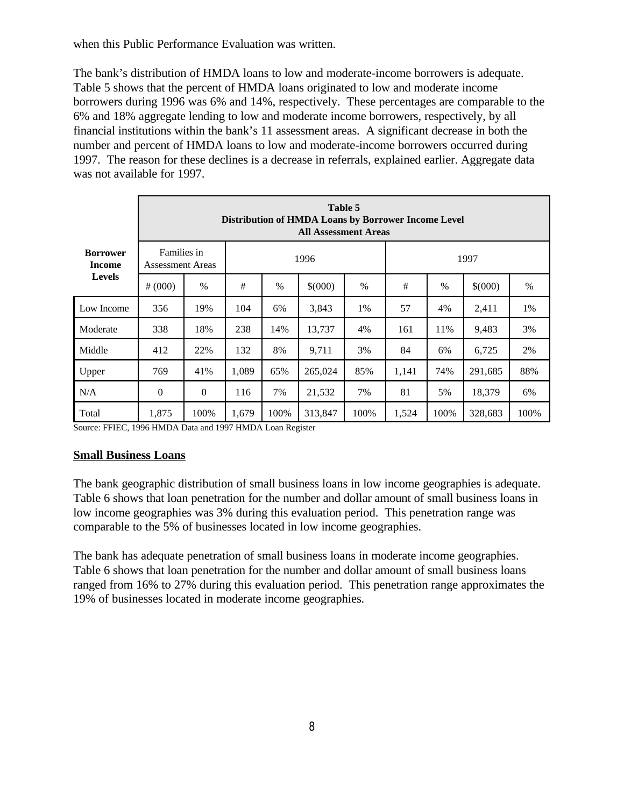when this Public Performance Evaluation was written.

The bank's distribution of HMDA loans to low and moderate-income borrowers is adequate. Table 5 shows that the percent of HMDA loans originated to low and moderate income borrowers during 1996 was 6% and 14%, respectively. These percentages are comparable to the 6% and 18% aggregate lending to low and moderate income borrowers, respectively, by all financial institutions within the bank's 11 assessment areas. A significant decrease in both the number and percent of HMDA loans to low and moderate-income borrowers occurred during 1997. The reason for these declines is a decrease in referrals, explained earlier. Aggregate data was not available for 1997.

|                           |                                        | Table 5<br>Distribution of HMDA Loans by Borrower Income Level<br><b>All Assessment Areas</b> |                                                |        |         |      |       |      |         |      |  |  |  |  |
|---------------------------|----------------------------------------|-----------------------------------------------------------------------------------------------|------------------------------------------------|--------|---------|------|-------|------|---------|------|--|--|--|--|
| <b>Borrower</b><br>Income | Families in<br><b>Assessment Areas</b> |                                                                                               |                                                |        | 1996    |      | 1997  |      |         |      |  |  |  |  |
| <b>Levels</b>             | # (000)                                | $\%$                                                                                          | #                                              | $\%$   | \$(000) | $\%$ | #     | $\%$ | \$(000) | $\%$ |  |  |  |  |
| Low Income                | 356                                    | 19%                                                                                           | 104                                            | 6%     | 3,843   | 1%   | 57    | 4%   | 2,411   | 1%   |  |  |  |  |
| Moderate                  | 338                                    | 18%                                                                                           | 238                                            | 14%    | 13,737  | 4%   | 161   | 11%  | 9,483   | 3%   |  |  |  |  |
| Middle                    | 412                                    | 22%                                                                                           | 132                                            | 8%     | 9,711   | 3%   | 84    | 6%   | 6,725   | 2%   |  |  |  |  |
| Upper                     | 769                                    | 41%                                                                                           | 1,089<br>65%<br>265,024<br>85%<br>1,141<br>74% |        |         |      |       |      | 291,685 | 88%  |  |  |  |  |
| N/A                       | 7%                                     | 81                                                                                            | 5%                                             | 18,379 | 6%      |      |       |      |         |      |  |  |  |  |
| Total                     | 1,875                                  | 100%                                                                                          | 1,679                                          | 100%   | 313,847 | 100% | 1,524 | 100% | 328,683 | 100% |  |  |  |  |

Source: FFIEC, 1996 HMDA Data and 1997 HMDA Loan Register

### **Small Business Loans**

The bank geographic distribution of small business loans in low income geographies is adequate. Table 6 shows that loan penetration for the number and dollar amount of small business loans in low income geographies was 3% during this evaluation period. This penetration range was comparable to the 5% of businesses located in low income geographies.

The bank has adequate penetration of small business loans in moderate income geographies. Table 6 shows that loan penetration for the number and dollar amount of small business loans ranged from 16% to 27% during this evaluation period. This penetration range approximates the 19% of businesses located in moderate income geographies.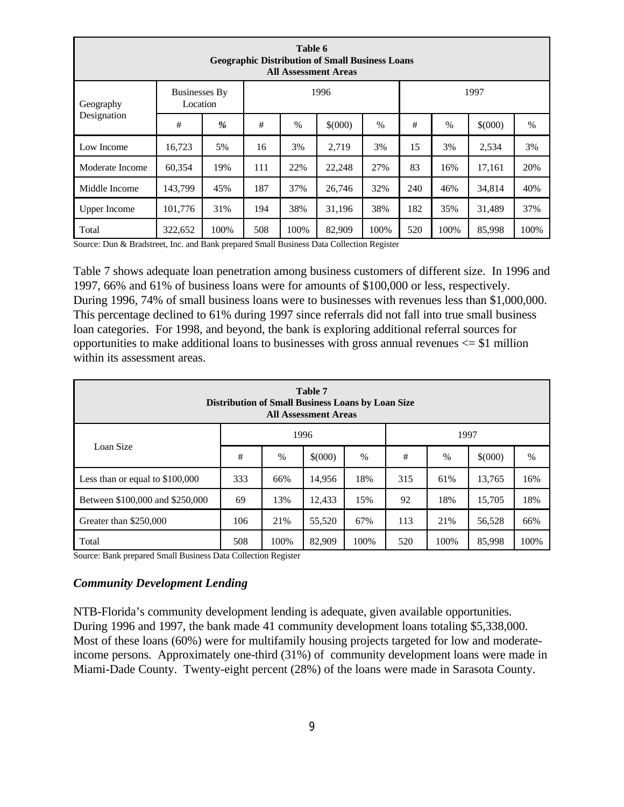|                     | Table 6<br><b>Geographic Distribution of Small Business Loans</b><br><b>All Assessment Areas</b> |               |     |      |         |      |      |      |         |      |  |  |  |  |  |
|---------------------|--------------------------------------------------------------------------------------------------|---------------|-----|------|---------|------|------|------|---------|------|--|--|--|--|--|
| Geography           | <b>Businesses By</b><br>Location                                                                 |               |     |      | 1996    |      | 1997 |      |         |      |  |  |  |  |  |
| Designation         | #                                                                                                | $\frac{9}{6}$ | #   | $\%$ | \$(000) | $\%$ | #    | %    | \$(000) | $\%$ |  |  |  |  |  |
| Low Income          | 16,723                                                                                           | 5%            | 16  | 3%   | 2.719   | 3%   | 15   | 3%   | 2,534   | 3%   |  |  |  |  |  |
| Moderate Income     | 60,354                                                                                           | 19%           | 111 | 22%  | 22,248  | 27%  | 83   | 16%  | 17,161  | 20%  |  |  |  |  |  |
| Middle Income       | 143,799                                                                                          | 45%           | 187 | 37%  | 26,746  | 32%  | 240  | 46%  | 34,814  | 40%  |  |  |  |  |  |
| <b>Upper Income</b> | 101.776<br>31%<br>38%<br>38%<br>182<br>35%<br>37%<br>194<br>31,196<br>31,489                     |               |     |      |         |      |      |      |         |      |  |  |  |  |  |
| Total               | 322,652                                                                                          | 100%          | 508 | 100% | 82,909  | 100% | 520  | 100% | 85,998  | 100% |  |  |  |  |  |

Source: Dun & Bradstreet, Inc. and Bank prepared Small Business Data Collection Register

Table 7 shows adequate loan penetration among business customers of different size. In 1996 and 1997, 66% and 61% of business loans were for amounts of \$100,000 or less, respectively. During 1996, 74% of small business loans were to businesses with revenues less than \$1,000,000. This percentage declined to 61% during 1997 since referrals did not fall into true small business loan categories. For 1998, and beyond, the bank is exploring additional referral sources for opportunities to make additional loans to businesses with gross annual revenues  $\le$  \$1 million within its assessment areas.

| <b>Table 7</b><br>Distribution of Small Business Loans by Loan Size<br><b>All Assessment Areas</b> |                                                                |               |         |      |     |               |             |      |  |  |  |
|----------------------------------------------------------------------------------------------------|----------------------------------------------------------------|---------------|---------|------|-----|---------------|-------------|------|--|--|--|
| 1996<br>1997                                                                                       |                                                                |               |         |      |     |               |             |      |  |  |  |
| Loan Size                                                                                          | #                                                              | $\frac{0}{0}$ | \$(000) | $\%$ | #   | $\frac{0}{0}$ | $$^{(000)}$ | $\%$ |  |  |  |
| Less than or equal to \$100,000                                                                    | 333                                                            | 66%           | 14,956  | 18%  | 315 | 61%           | 13,765      | 16%  |  |  |  |
| Between \$100,000 and \$250,000                                                                    | 69                                                             | 13%           | 12,433  | 15%  | 92  | 18%           | 15,705      | 18%  |  |  |  |
| Greater than \$250,000                                                                             | 106                                                            | 21%           | 55,520  | 67%  | 113 | 21%           | 56,528      | 66%  |  |  |  |
| Total                                                                                              | 100%<br>100%<br>508<br>100%<br>82,909<br>100%<br>520<br>85,998 |               |         |      |     |               |             |      |  |  |  |

Source: Bank prepared Small Business Data Collection Register

#### *Community Development Lending*

NTB-Florida's community development lending is adequate, given available opportunities. During 1996 and 1997, the bank made 41 community development loans totaling \$5,338,000. Most of these loans (60%) were for multifamily housing projects targeted for low and moderateincome persons. Approximately one-third (31%) of community development loans were made in Miami-Dade County. Twenty-eight percent (28%) of the loans were made in Sarasota County.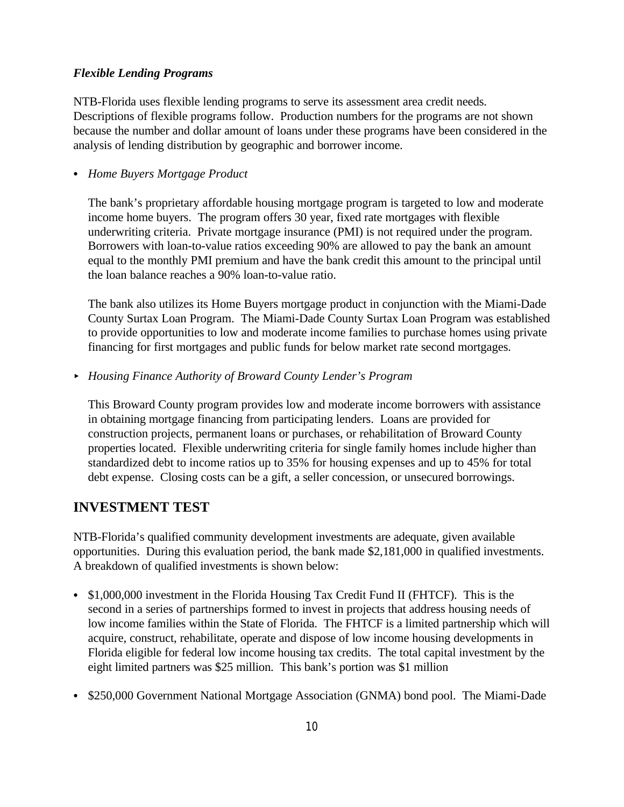### *Flexible Lending Programs*

NTB-Florida uses flexible lending programs to serve its assessment area credit needs. Descriptions of flexible programs follow. Production numbers for the programs are not shown because the number and dollar amount of loans under these programs have been considered in the analysis of lending distribution by geographic and borrower income.

*C Home Buyers Mortgage Product*

The bank's proprietary affordable housing mortgage program is targeted to low and moderate income home buyers. The program offers 30 year, fixed rate mortgages with flexible underwriting criteria. Private mortgage insurance (PMI) is not required under the program. Borrowers with loan-to-value ratios exceeding 90% are allowed to pay the bank an amount equal to the monthly PMI premium and have the bank credit this amount to the principal until the loan balance reaches a 90% loan-to-value ratio.

The bank also utilizes its Home Buyers mortgage product in conjunction with the Miami-Dade County Surtax Loan Program. The Miami-Dade County Surtax Loan Program was established to provide opportunities to low and moderate income families to purchase homes using private financing for first mortgages and public funds for below market rate second mortgages.

< *Housing Finance Authority of Broward County Lender's Program*

This Broward County program provides low and moderate income borrowers with assistance in obtaining mortgage financing from participating lenders. Loans are provided for construction projects, permanent loans or purchases, or rehabilitation of Broward County properties located. Flexible underwriting criteria for single family homes include higher than standardized debt to income ratios up to 35% for housing expenses and up to 45% for total debt expense. Closing costs can be a gift, a seller concession, or unsecured borrowings.

### **INVESTMENT TEST**

NTB-Florida's qualified community development investments are adequate, given available opportunities. During this evaluation period, the bank made \$2,181,000 in qualified investments. A breakdown of qualified investments is shown below:

- \$1,000,000 investment in the Florida Housing Tax Credit Fund II (FHTCF). This is the second in a series of partnerships formed to invest in projects that address housing needs of low income families within the State of Florida. The FHTCF is a limited partnership which will acquire, construct, rehabilitate, operate and dispose of low income housing developments in Florida eligible for federal low income housing tax credits. The total capital investment by the eight limited partners was \$25 million. This bank's portion was \$1 million
- \$250,000 Government National Mortgage Association (GNMA) bond pool. The Miami-Dade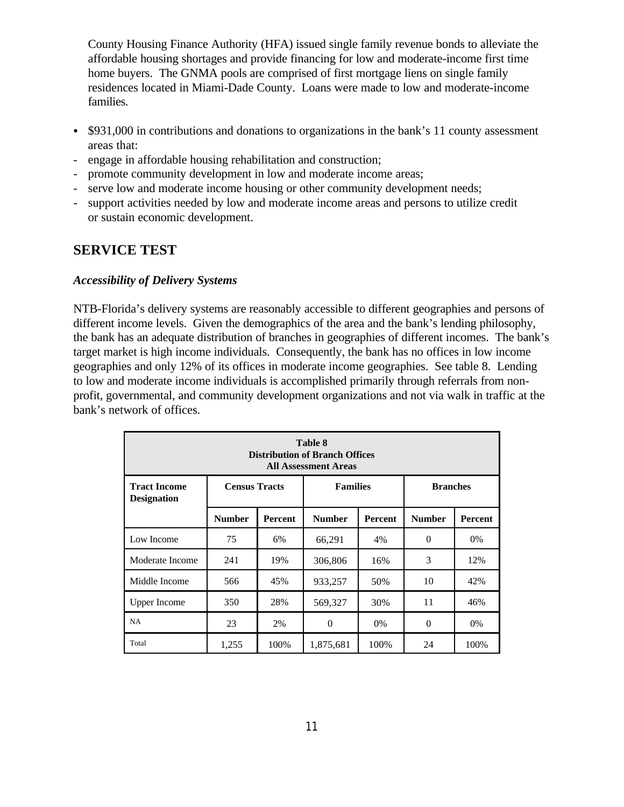County Housing Finance Authority (HFA) issued single family revenue bonds to alleviate the affordable housing shortages and provide financing for low and moderate-income first time home buyers. The GNMA pools are comprised of first mortgage liens on single family residences located in Miami-Dade County. Loans were made to low and moderate-income families.

- $\bullet$  \$931,000 in contributions and donations to organizations in the bank's 11 county assessment areas that:
- engage in affordable housing rehabilitation and construction;
- promote community development in low and moderate income areas;
- serve low and moderate income housing or other community development needs;
- support activities needed by low and moderate income areas and persons to utilize credit or sustain economic development.

# **SERVICE TEST**

### *Accessibility of Delivery Systems*

NTB-Florida's delivery systems are reasonably accessible to different geographies and persons of different income levels. Given the demographics of the area and the bank's lending philosophy, the bank has an adequate distribution of branches in geographies of different incomes. The bank's target market is high income individuals. Consequently, the bank has no offices in low income geographies and only 12% of its offices in moderate income geographies. See table 8. Lending to low and moderate income individuals is accomplished primarily through referrals from nonprofit, governmental, and community development organizations and not via walk in traffic at the bank's network of offices.

|                                                                                                         | Table 8<br><b>Distribution of Branch Offices</b><br><b>All Assessment Areas</b> |     |          |       |          |       |  |  |  |  |  |  |  |  |
|---------------------------------------------------------------------------------------------------------|---------------------------------------------------------------------------------|-----|----------|-------|----------|-------|--|--|--|--|--|--|--|--|
| <b>Families</b><br><b>Branches</b><br><b>Tract Income</b><br><b>Census Tracts</b><br><b>Designation</b> |                                                                                 |     |          |       |          |       |  |  |  |  |  |  |  |  |
| <b>Number</b><br><b>Number</b><br><b>Number</b><br><b>Percent</b><br><b>Percent</b><br><b>Percent</b>   |                                                                                 |     |          |       |          |       |  |  |  |  |  |  |  |  |
| Low Income                                                                                              | 75                                                                              | 6%  | 66,291   | 4%    | $\theta$ | $0\%$ |  |  |  |  |  |  |  |  |
| Moderate Income                                                                                         | 241                                                                             | 19% | 306,806  | 16%   | 3        | 12%   |  |  |  |  |  |  |  |  |
| Middle Income                                                                                           | 566                                                                             | 45% | 933,257  | 50%   | 10       | 42%   |  |  |  |  |  |  |  |  |
| <b>Upper Income</b>                                                                                     | 350                                                                             | 28% | 569,327  | 30%   | 11       | 46%   |  |  |  |  |  |  |  |  |
| <b>NA</b>                                                                                               | 23                                                                              | 2%  | $\Omega$ | $0\%$ | $\Omega$ | 0%    |  |  |  |  |  |  |  |  |
| Total<br>1,255<br>100%<br>24<br>100%<br>1,875,681<br>100%                                               |                                                                                 |     |          |       |          |       |  |  |  |  |  |  |  |  |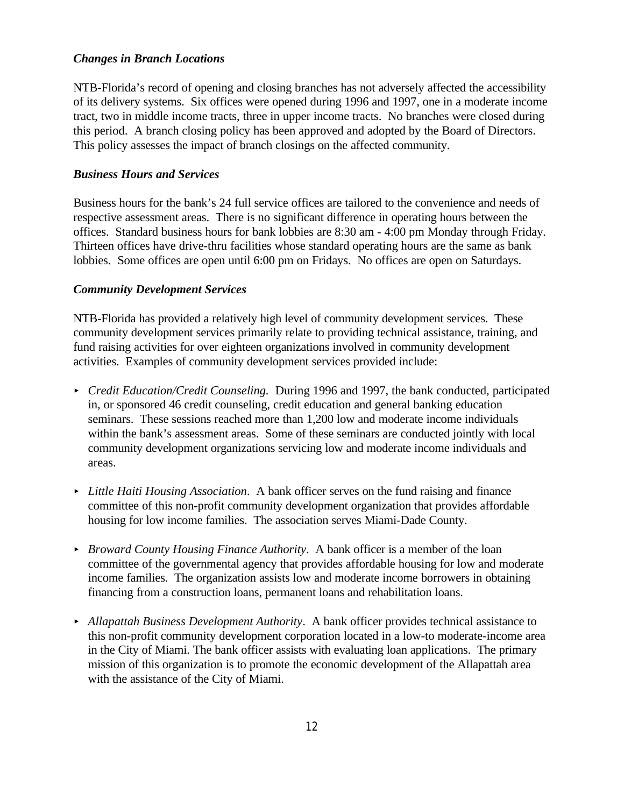### *Changes in Branch Locations*

NTB-Florida's record of opening and closing branches has not adversely affected the accessibility of its delivery systems. Six offices were opened during 1996 and 1997, one in a moderate income tract, two in middle income tracts, three in upper income tracts. No branches were closed during this period. A branch closing policy has been approved and adopted by the Board of Directors. This policy assesses the impact of branch closings on the affected community.

### *Business Hours and Services*

Business hours for the bank's 24 full service offices are tailored to the convenience and needs of respective assessment areas. There is no significant difference in operating hours between the offices. Standard business hours for bank lobbies are 8:30 am - 4:00 pm Monday through Friday. Thirteen offices have drive-thru facilities whose standard operating hours are the same as bank lobbies. Some offices are open until 6:00 pm on Fridays. No offices are open on Saturdays.

### *Community Development Services*

NTB-Florida has provided a relatively high level of community development services. These community development services primarily relate to providing technical assistance, training, and fund raising activities for over eighteen organizations involved in community development activities. Examples of community development services provided include:

- < *Credit Education/Credit Counseling.* During 1996 and 1997, the bank conducted, participated in, or sponsored 46 credit counseling, credit education and general banking education seminars. These sessions reached more than 1,200 low and moderate income individuals within the bank's assessment areas. Some of these seminars are conducted jointly with local community development organizations servicing low and moderate income individuals and areas.
- < *Little Haiti Housing Association*. A bank officer serves on the fund raising and finance committee of this non-profit community development organization that provides affordable housing for low income families. The association serves Miami-Dade County.
- < *Broward County Housing Finance Authority*. A bank officer is a member of the loan committee of the governmental agency that provides affordable housing for low and moderate income families. The organization assists low and moderate income borrowers in obtaining financing from a construction loans, permanent loans and rehabilitation loans.
- < *Allapattah Business Development Authority*. A bank officer provides technical assistance to this non-profit community development corporation located in a low-to moderate-income area in the City of Miami. The bank officer assists with evaluating loan applications. The primary mission of this organization is to promote the economic development of the Allapattah area with the assistance of the City of Miami.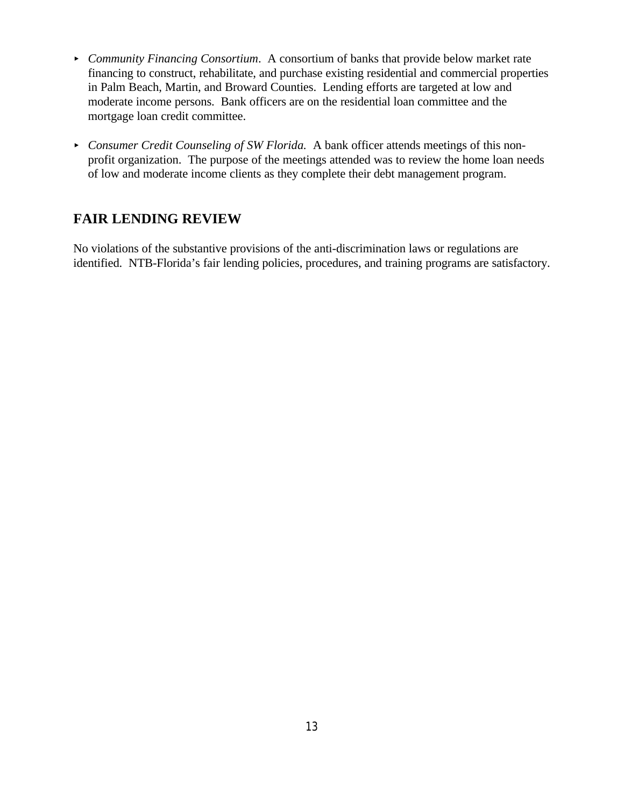- *Community Financing Consortium.* A consortium of banks that provide below market rate financing to construct, rehabilitate, and purchase existing residential and commercial properties in Palm Beach, Martin, and Broward Counties. Lending efforts are targeted at low and moderate income persons. Bank officers are on the residential loan committee and the mortgage loan credit committee.
- **EX Consumer Credit Counseling of SW Florida.** A bank officer attends meetings of this nonprofit organization. The purpose of the meetings attended was to review the home loan needs of low and moderate income clients as they complete their debt management program.

# **FAIR LENDING REVIEW**

No violations of the substantive provisions of the anti-discrimination laws or regulations are identified. NTB-Florida's fair lending policies, procedures, and training programs are satisfactory.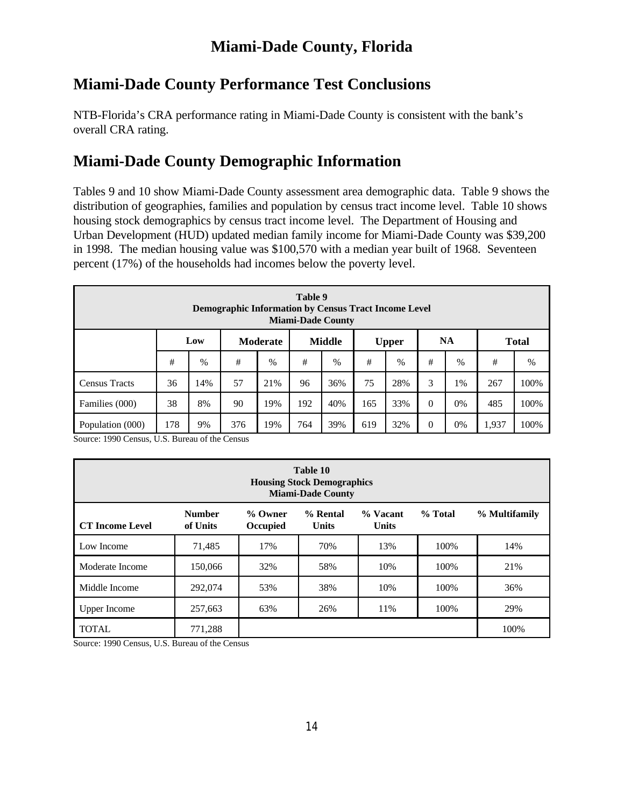# **Miami-Dade County, Florida**

# **Miami-Dade County Performance Test Conclusions**

NTB-Florida's CRA performance rating in Miami-Dade County is consistent with the bank's overall CRA rating.

# **Miami-Dade County Demographic Information**

Tables 9 and 10 show Miami-Dade County assessment area demographic data. Table 9 shows the distribution of geographies, families and population by census tract income level. Table 10 shows housing stock demographics by census tract income level. The Department of Housing and Urban Development (HUD) updated median family income for Miami-Dade County was \$39,200 in 1998. The median housing value was \$100,570 with a median year built of 1968. Seventeen percent (17%) of the households had incomes below the poverty level.

| Table 9<br><b>Demographic Information by Census Tract Income Level</b><br><b>Miami-Dade County</b> |                                                                                        |      |    |               |    |      |    |      |   |      |     |      |  |
|----------------------------------------------------------------------------------------------------|----------------------------------------------------------------------------------------|------|----|---------------|----|------|----|------|---|------|-----|------|--|
|                                                                                                    | <b>NA</b><br>Low<br><b>Middle</b><br><b>Moderate</b><br><b>Total</b><br><b>Upper</b>   |      |    |               |    |      |    |      |   |      |     |      |  |
|                                                                                                    | #                                                                                      | $\%$ | #  | $\frac{0}{0}$ | #  | $\%$ | #  | $\%$ | # | $\%$ | #   | %    |  |
| <b>Census Tracts</b>                                                                               | 36                                                                                     | 14%  | 57 | 21%           | 96 | 36%  | 75 | 28%  | 3 | 1%   | 267 | 100% |  |
| Families (000)                                                                                     | $\theta$<br>38<br>192<br>40%<br>33%<br>100%<br>8%<br>90<br>19%<br>165<br>0%<br>485     |      |    |               |    |      |    |      |   |      |     |      |  |
| Population (000)                                                                                   | 178<br>39%<br>$\theta$<br>100%<br>19%<br>32%<br>0%<br>1,937<br>9%<br>376<br>764<br>619 |      |    |               |    |      |    |      |   |      |     |      |  |

Source: 1990 Census, U.S. Bureau of the Census

| Table 10<br><b>Housing Stock Demographics</b><br><b>Miami-Dade County</b>                                                                                      |         |     |     |     |      |      |  |  |  |  |  |  |
|----------------------------------------------------------------------------------------------------------------------------------------------------------------|---------|-----|-----|-----|------|------|--|--|--|--|--|--|
| <b>Number</b><br>% Rental<br>% Vacant<br>% Total<br>% Multifamily<br>% Owner<br><b>CT</b> Income Level<br>of Units<br><b>Units</b><br><b>Units</b><br>Occupied |         |     |     |     |      |      |  |  |  |  |  |  |
| 71,485<br>17%<br>70%<br>13%<br>100\%<br>Low Income                                                                                                             |         |     |     |     |      |      |  |  |  |  |  |  |
| Moderate Income                                                                                                                                                | 150,066 | 32% | 58% | 10% | 100% | 21%  |  |  |  |  |  |  |
| Middle Income                                                                                                                                                  | 292,074 | 53% | 38% | 10% | 100% | 36%  |  |  |  |  |  |  |
| <b>Upper Income</b>                                                                                                                                            | 257,663 | 63% | 26% | 11% | 100% | 29%  |  |  |  |  |  |  |
| <b>TOTAL</b>                                                                                                                                                   | 771,288 |     |     |     |      | 100% |  |  |  |  |  |  |

Source: 1990 Census, U.S. Bureau of the Census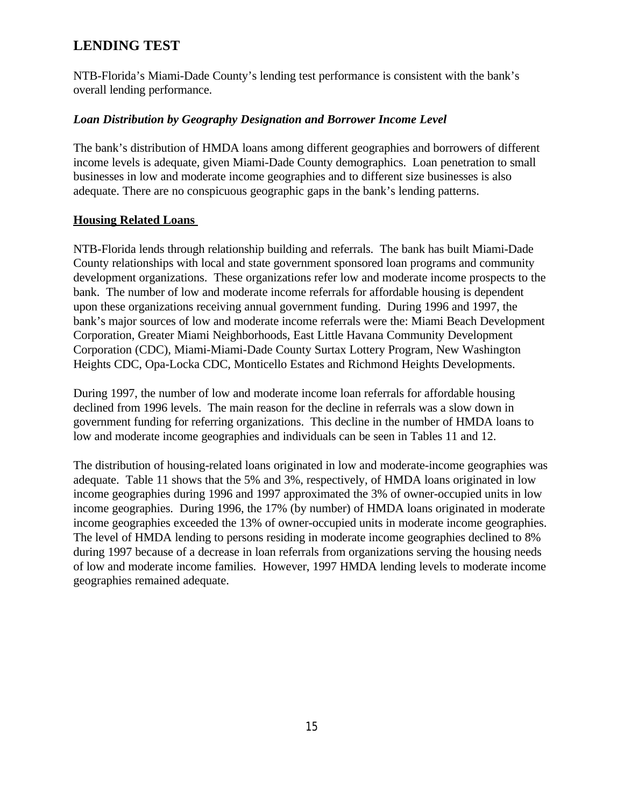# **LENDING TEST**

NTB-Florida's Miami-Dade County's lending test performance is consistent with the bank's overall lending performance.

### *Loan Distribution by Geography Designation and Borrower Income Level*

The bank's distribution of HMDA loans among different geographies and borrowers of different income levels is adequate, given Miami-Dade County demographics. Loan penetration to small businesses in low and moderate income geographies and to different size businesses is also adequate. There are no conspicuous geographic gaps in the bank's lending patterns.

### **Housing Related Loans**

NTB-Florida lends through relationship building and referrals. The bank has built Miami-Dade County relationships with local and state government sponsored loan programs and community development organizations. These organizations refer low and moderate income prospects to the bank. The number of low and moderate income referrals for affordable housing is dependent upon these organizations receiving annual government funding. During 1996 and 1997, the bank's major sources of low and moderate income referrals were the: Miami Beach Development Corporation, Greater Miami Neighborhoods, East Little Havana Community Development Corporation (CDC), Miami-Miami-Dade County Surtax Lottery Program, New Washington Heights CDC, Opa-Locka CDC, Monticello Estates and Richmond Heights Developments.

During 1997, the number of low and moderate income loan referrals for affordable housing declined from 1996 levels. The main reason for the decline in referrals was a slow down in government funding for referring organizations. This decline in the number of HMDA loans to low and moderate income geographies and individuals can be seen in Tables 11 and 12.

The distribution of housing-related loans originated in low and moderate-income geographies was adequate. Table 11 shows that the 5% and 3%, respectively, of HMDA loans originated in low income geographies during 1996 and 1997 approximated the 3% of owner-occupied units in low income geographies. During 1996, the 17% (by number) of HMDA loans originated in moderate income geographies exceeded the 13% of owner-occupied units in moderate income geographies. The level of HMDA lending to persons residing in moderate income geographies declined to 8% during 1997 because of a decrease in loan referrals from organizations serving the housing needs of low and moderate income families. However, 1997 HMDA lending levels to moderate income geographies remained adequate.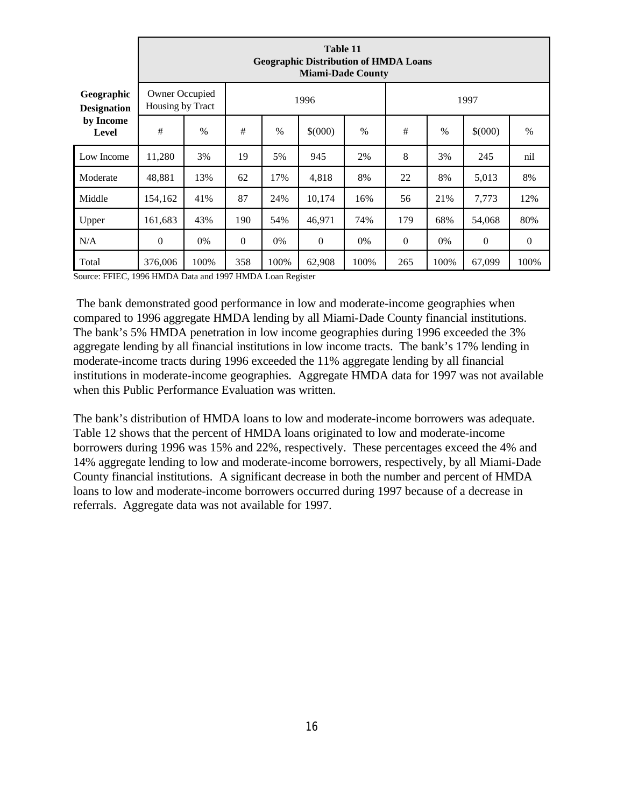|                                  |                                    | Table 11<br><b>Geographic Distribution of HMDA Loans</b><br><b>Miami-Dade County</b> |                  |                                                 |                |      |                  |       |                  |                  |  |  |  |
|----------------------------------|------------------------------------|--------------------------------------------------------------------------------------|------------------|-------------------------------------------------|----------------|------|------------------|-------|------------------|------------------|--|--|--|
| Geographic<br><b>Designation</b> | Owner Occupied<br>Housing by Tract |                                                                                      |                  | 1996<br>1997                                    |                |      |                  |       |                  |                  |  |  |  |
| by Income<br><b>Level</b>        | #                                  | $\frac{0}{0}$                                                                        | #                | \$(000)<br>\$(000)<br>$\%$<br>#<br>$\%$<br>$\%$ |                |      |                  |       |                  |                  |  |  |  |
| Low Income                       | 11,280                             | 3%                                                                                   | 19               | 5%                                              | 945            | 2%   | 8                | 3%    | 245              | nil              |  |  |  |
| Moderate                         | 48,881                             | 13%                                                                                  | 62               | 17%                                             | 4,818          | 8%   | 22               | 8%    | 5,013            | 8%               |  |  |  |
| Middle                           | 154,162                            | 41%                                                                                  | 87               | 24%                                             | 10,174         | 16%  | 56               | 21%   | 7,773            | 12%              |  |  |  |
| Upper                            | 161,683                            | 43%                                                                                  | 190              | 54%                                             | 46,971         | 74%  | 179              | 68%   | 54,068           | 80%              |  |  |  |
| N/A                              | $\mathbf{0}$                       | 0%                                                                                   | $\boldsymbol{0}$ | 0%                                              | $\overline{0}$ | 0%   | $\boldsymbol{0}$ | $0\%$ | $\boldsymbol{0}$ | $\boldsymbol{0}$ |  |  |  |
| Total                            | 376,006                            | 100%                                                                                 | 358              | 100%                                            | 62,908         | 100% | 265              | 100%  | 67,099           | 100%             |  |  |  |

Source: FFIEC, 1996 HMDA Data and 1997 HMDA Loan Register

 The bank demonstrated good performance in low and moderate-income geographies when compared to 1996 aggregate HMDA lending by all Miami-Dade County financial institutions. The bank's 5% HMDA penetration in low income geographies during 1996 exceeded the 3% aggregate lending by all financial institutions in low income tracts. The bank's 17% lending in moderate-income tracts during 1996 exceeded the 11% aggregate lending by all financial institutions in moderate-income geographies. Aggregate HMDA data for 1997 was not available when this Public Performance Evaluation was written.

The bank's distribution of HMDA loans to low and moderate-income borrowers was adequate. Table 12 shows that the percent of HMDA loans originated to low and moderate-income borrowers during 1996 was 15% and 22%, respectively. These percentages exceed the 4% and 14% aggregate lending to low and moderate-income borrowers, respectively, by all Miami-Dade County financial institutions. A significant decrease in both the number and percent of HMDA loans to low and moderate-income borrowers occurred during 1997 because of a decrease in referrals. Aggregate data was not available for 1997.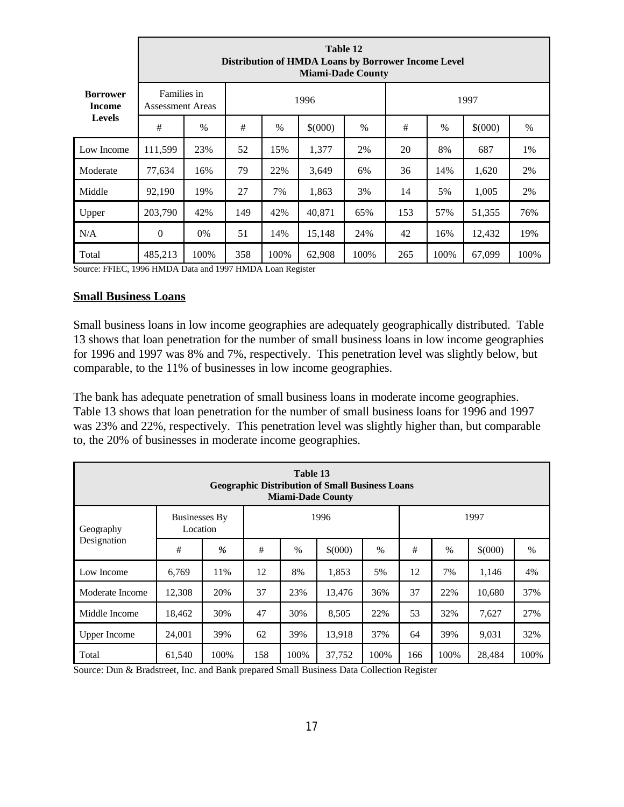|                                  |                                        | Table 12<br>Distribution of HMDA Loans by Borrower Income Level<br><b>Miami-Dade County</b> |      |                                                 |        |      |      |      |        |      |  |  |  |  |  |  |
|----------------------------------|----------------------------------------|---------------------------------------------------------------------------------------------|------|-------------------------------------------------|--------|------|------|------|--------|------|--|--|--|--|--|--|
| <b>Borrower</b><br><b>Income</b> | Families in<br><b>Assessment Areas</b> |                                                                                             | 1996 |                                                 |        |      | 1997 |      |        |      |  |  |  |  |  |  |
| <b>Levels</b>                    | #                                      | $\%$                                                                                        | #    | \$(000)<br>\$(000)<br>$\%$<br>#<br>$\%$<br>$\%$ |        |      |      |      |        |      |  |  |  |  |  |  |
| Low Income                       | 111,599                                | 23%                                                                                         | 52   | 15%                                             | 1,377  | 2%   | 20   | 8%   | 687    | 1%   |  |  |  |  |  |  |
| Moderate                         | 77,634                                 | 16%                                                                                         | 79   | 22%                                             | 3,649  | 6%   | 36   | 14%  | 1,620  | 2%   |  |  |  |  |  |  |
| Middle                           | 92,190                                 | 19%                                                                                         | 27   | 7%                                              | 1,863  | 3%   | 14   | 5%   | 1,005  | 2%   |  |  |  |  |  |  |
| Upper                            | 203,790                                | 42%                                                                                         | 149  | 42%                                             | 40,871 | 65%  | 153  | 57%  | 51,355 | 76%  |  |  |  |  |  |  |
| N/A                              | $\mathbf{0}$                           | 0%                                                                                          | 51   | 14%                                             | 15,148 | 24%  | 42   | 16%  | 12,432 | 19%  |  |  |  |  |  |  |
| Total                            | 485,213                                | 100%                                                                                        | 358  | 100%                                            | 62,908 | 100% | 265  | 100% | 67,099 | 100% |  |  |  |  |  |  |

Source: FFIEC, 1996 HMDA Data and 1997 HMDA Loan Register

#### **Small Business Loans**

Small business loans in low income geographies are adequately geographically distributed. Table 13 shows that loan penetration for the number of small business loans in low income geographies for 1996 and 1997 was 8% and 7%, respectively. This penetration level was slightly below, but comparable, to the 11% of businesses in low income geographies.

The bank has adequate penetration of small business loans in moderate income geographies. Table 13 shows that loan penetration for the number of small business loans for 1996 and 1997 was 23% and 22%, respectively. This penetration level was slightly higher than, but comparable to, the 20% of businesses in moderate income geographies.

|                     |                                  |      |     | Table 13 | <b>Geographic Distribution of Small Business Loans</b><br><b>Miami-Dade County</b> |      |     |               |         |      |
|---------------------|----------------------------------|------|-----|----------|------------------------------------------------------------------------------------|------|-----|---------------|---------|------|
| Geography           | <b>Businesses By</b><br>Location |      |     |          | 1996                                                                               |      |     |               | 1997    |      |
| Designation         | #                                | $\%$ | #   | $\%$     | $$^{(000)}$                                                                        | $\%$ | #   | $\frac{0}{0}$ | \$(000) | $\%$ |
| Low Income          | 6,769                            | 11%  | 12  | 8%       | 1,853                                                                              | 5%   | 12  | 7%            | 1,146   | 4%   |
| Moderate Income     | 12,308                           | 20%  | 37  | 23%      | 13,476                                                                             | 36%  | 37  | 22%           | 10,680  | 37%  |
| Middle Income       | 18,462                           | 30%  | 47  | 30%      | 8,505                                                                              | 22%  | 53  | 32%           | 7,627   | 27%  |
| <b>Upper Income</b> | 24,001                           | 39%  | 62  | 39%      | 13,918                                                                             | 37%  | 64  | 39%           | 9,031   | 32%  |
| Total               | 61,540                           | 100% | 158 | 100%     | 37,752                                                                             | 100% | 166 | 100%          | 28,484  | 100% |

Source: Dun & Bradstreet, Inc. and Bank prepared Small Business Data Collection Register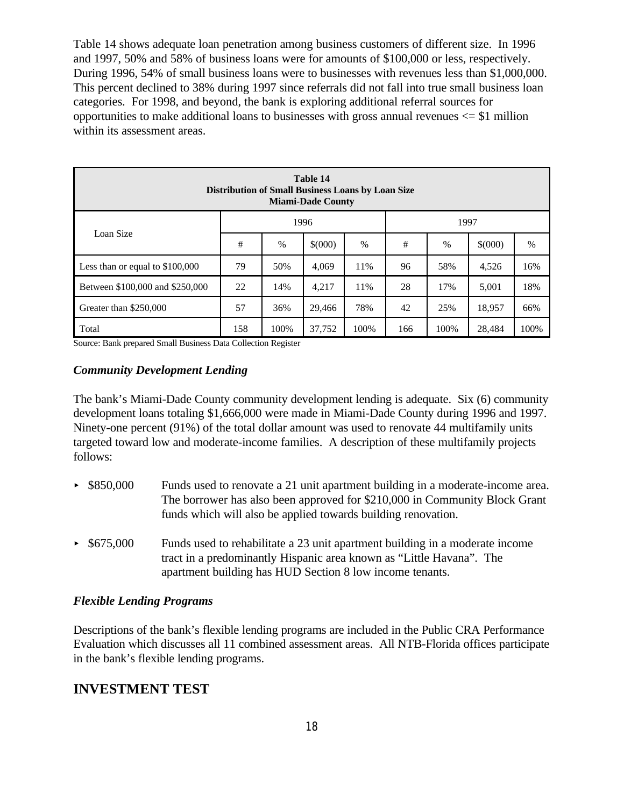Table 14 shows adequate loan penetration among business customers of different size. In 1996 and 1997, 50% and 58% of business loans were for amounts of \$100,000 or less, respectively. During 1996, 54% of small business loans were to businesses with revenues less than \$1,000,000. This percent declined to 38% during 1997 since referrals did not fall into true small business loan categories. For 1998, and beyond, the bank is exploring additional referral sources for opportunities to make additional loans to businesses with gross annual revenues  $\le$  \$1 million within its assessment areas.

|                                  | Table 14<br><b>Distribution of Small Business Loans by Loan Size</b><br><b>Miami-Dade County</b> |               |         |               |     |      |         |      |  |  |  |  |
|----------------------------------|--------------------------------------------------------------------------------------------------|---------------|---------|---------------|-----|------|---------|------|--|--|--|--|
| 1996<br>1997<br>Loan Size        |                                                                                                  |               |         |               |     |      |         |      |  |  |  |  |
|                                  | #                                                                                                | $\frac{0}{0}$ | \$(000) | $\frac{0}{0}$ | #   | $\%$ | \$(000) | $\%$ |  |  |  |  |
| Less than or equal to $$100,000$ | 79                                                                                               | 50%           | 4,069   | 11%           | 96  | 58%  | 4,526   | 16%  |  |  |  |  |
| Between \$100,000 and \$250,000  | 22                                                                                               | 14%           | 4,217   | 11%           | 28  | 17%  | 5,001   | 18%  |  |  |  |  |
| Greater than \$250,000           | 57                                                                                               | 36%           | 29,466  | 78%           | 42  | 25%  | 18,957  | 66%  |  |  |  |  |
| Total                            | 158                                                                                              | 100%          | 37,752  | 100%          | 166 | 100% | 28,484  | 100% |  |  |  |  |

Source: Bank prepared Small Business Data Collection Register

### *Community Development Lending*

The bank's Miami-Dade County community development lending is adequate. Six (6) community development loans totaling \$1,666,000 were made in Miami-Dade County during 1996 and 1997. Ninety-one percent (91%) of the total dollar amount was used to renovate 44 multifamily units targeted toward low and moderate-income families. A description of these multifamily projects follows:

- ► \$850,000 Funds used to renovate a 21 unit apartment building in a moderate-income area. The borrower has also been approved for \$210,000 in Community Block Grant funds which will also be applied towards building renovation.
- $\triangleright$  \$675,000 Funds used to rehabilitate a 23 unit apartment building in a moderate income tract in a predominantly Hispanic area known as "Little Havana". The apartment building has HUD Section 8 low income tenants.

### *Flexible Lending Programs*

Descriptions of the bank's flexible lending programs are included in the Public CRA Performance Evaluation which discusses all 11 combined assessment areas. All NTB-Florida offices participate in the bank's flexible lending programs.

### **INVESTMENT TEST**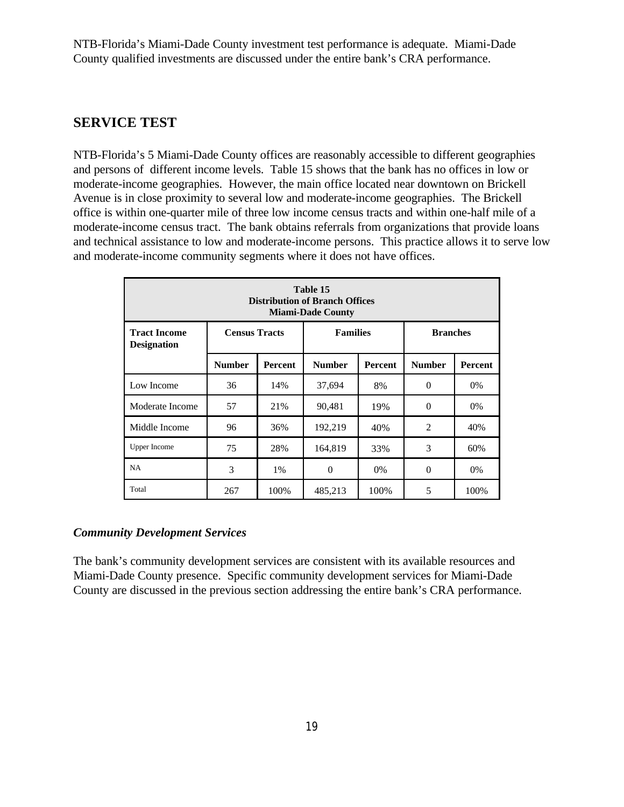NTB-Florida's Miami-Dade County investment test performance is adequate. Miami-Dade County qualified investments are discussed under the entire bank's CRA performance.

## **SERVICE TEST**

NTB-Florida's 5 Miami-Dade County offices are reasonably accessible to different geographies and persons of different income levels. Table 15 shows that the bank has no offices in low or moderate-income geographies. However, the main office located near downtown on Brickell Avenue is in close proximity to several low and moderate-income geographies. The Brickell office is within one-quarter mile of three low income census tracts and within one-half mile of a moderate-income census tract. The bank obtains referrals from organizations that provide loans and technical assistance to low and moderate-income persons. This practice allows it to serve low and moderate-income community segments where it does not have offices.

|                                                                                                         | Table 15<br><b>Distribution of Branch Offices</b><br><b>Miami-Dade County</b> |                |               |                |               |                |  |  |  |  |  |  |  |  |
|---------------------------------------------------------------------------------------------------------|-------------------------------------------------------------------------------|----------------|---------------|----------------|---------------|----------------|--|--|--|--|--|--|--|--|
| <b>Families</b><br><b>Branches</b><br><b>Census Tracts</b><br><b>Tract Income</b><br><b>Designation</b> |                                                                               |                |               |                |               |                |  |  |  |  |  |  |  |  |
|                                                                                                         | <b>Number</b>                                                                 | <b>Percent</b> | <b>Number</b> | <b>Percent</b> | <b>Number</b> | <b>Percent</b> |  |  |  |  |  |  |  |  |
| Low Income                                                                                              | 36                                                                            | 14%            | 37,694        | 8%             | $\theta$      | 0%             |  |  |  |  |  |  |  |  |
| Moderate Income                                                                                         | 57                                                                            | 21%            | 90,481        | 19%            | $\Omega$      | 0%             |  |  |  |  |  |  |  |  |
| Middle Income                                                                                           | 96                                                                            | 36%            | 192,219       | 40%            | 2             | 40%            |  |  |  |  |  |  |  |  |
| <b>Upper Income</b>                                                                                     | 75                                                                            | 28%            | 164,819       | 33%            | 3             | 60%            |  |  |  |  |  |  |  |  |
| NA                                                                                                      | 3                                                                             | 1%             | $\Omega$      | 0%             | $\Omega$      | $0\%$          |  |  |  |  |  |  |  |  |
| Total                                                                                                   | 267                                                                           | 100\%          | 485,213       | 100%           | 5             | 100%           |  |  |  |  |  |  |  |  |

### *Community Development Services*

The bank's community development services are consistent with its available resources and Miami-Dade County presence. Specific community development services for Miami-Dade County are discussed in the previous section addressing the entire bank's CRA performance.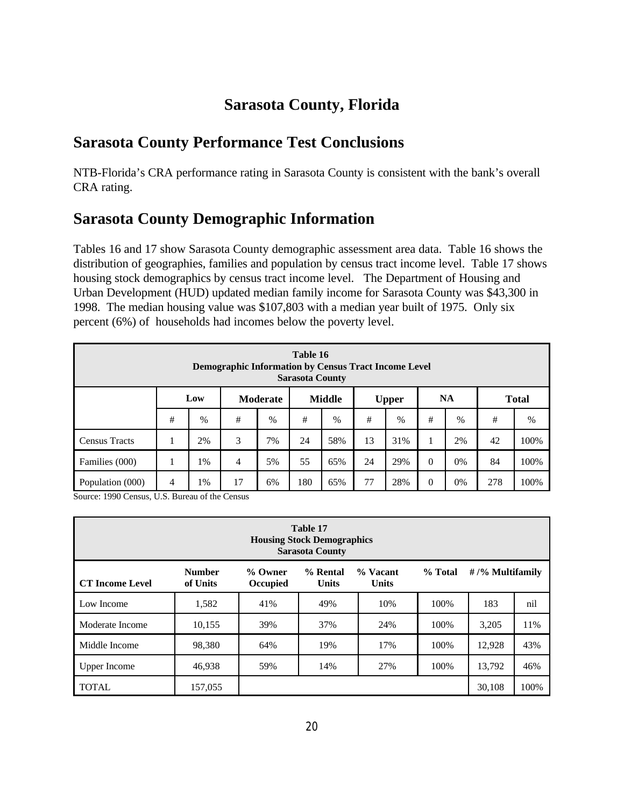# **Sarasota County, Florida**

# **Sarasota County Performance Test Conclusions**

NTB-Florida's CRA performance rating in Sarasota County is consistent with the bank's overall CRA rating.

# **Sarasota County Demographic Information**

Tables 16 and 17 show Sarasota County demographic assessment area data. Table 16 shows the distribution of geographies, families and population by census tract income level. Table 17 shows housing stock demographics by census tract income level. The Department of Housing and Urban Development (HUD) updated median family income for Sarasota County was \$43,300 in 1998. The median housing value was \$107,803 with a median year built of 1975. Only six percent (6%) of households had incomes below the poverty level.

|                      | Table 16<br><b>Demographic Information by Census Tract Income Level</b><br><b>Sarasota County</b> |      |                |          |    |               |    |               |          |           |    |              |  |
|----------------------|---------------------------------------------------------------------------------------------------|------|----------------|----------|----|---------------|----|---------------|----------|-----------|----|--------------|--|
|                      |                                                                                                   | Low  |                | Moderate |    | <b>Middle</b> |    | <b>Upper</b>  |          | <b>NA</b> |    | <b>Total</b> |  |
|                      | #                                                                                                 | $\%$ | #              | $\%$     | #  | $\%$          | #  | $\frac{0}{0}$ | #        | $\%$      | #  | %            |  |
| <b>Census Tracts</b> |                                                                                                   | 2%   | 3              | 7%       | 24 | 58%           | 13 | 31%           |          | 2%        | 42 | 100%         |  |
| Families (000)       |                                                                                                   | 1%   | $\overline{4}$ | 5%       | 55 | 65%           | 24 | 29%           | $\theta$ | 0%        | 84 | 100%         |  |
| Population (000)     | 77<br>$\theta$<br>100%<br>180<br>28%<br>278<br>17<br>65%<br>0%<br>4<br>1%<br>6%                   |      |                |          |    |               |    |               |          |           |    |              |  |

Source: 1990 Census, U.S. Bureau of the Census

| Table 17<br><b>Housing Stock Demographics</b><br><b>Sarasota County</b> |                           |                     |                          |                            |         |                     |      |  |  |  |  |
|-------------------------------------------------------------------------|---------------------------|---------------------|--------------------------|----------------------------|---------|---------------------|------|--|--|--|--|
| <b>CT</b> Income Level                                                  | <b>Number</b><br>of Units | % Owner<br>Occupied | % Rental<br><b>Units</b> | $%$ Vacant<br><b>Units</b> | % Total | $\#$ /% Multifamily |      |  |  |  |  |
| Low Income                                                              | 1.582                     | 41%                 | 49%                      | 10%                        | 100\%   | 183                 | nil  |  |  |  |  |
| Moderate Income                                                         | 10.155                    | 39%                 | 37%                      | 24%                        | 100%    | 3.205               | 11%  |  |  |  |  |
| Middle Income                                                           | 98,380                    | 64%                 | 19%                      | 17%                        | 100%    | 12,928              | 43%  |  |  |  |  |
| <b>Upper Income</b>                                                     | 46.938                    | 59%                 | 14%                      | 27%                        | 100%    | 13,792              | 46%  |  |  |  |  |
| <b>TOTAL</b>                                                            | 157,055                   |                     |                          |                            |         | 30,108              | 100% |  |  |  |  |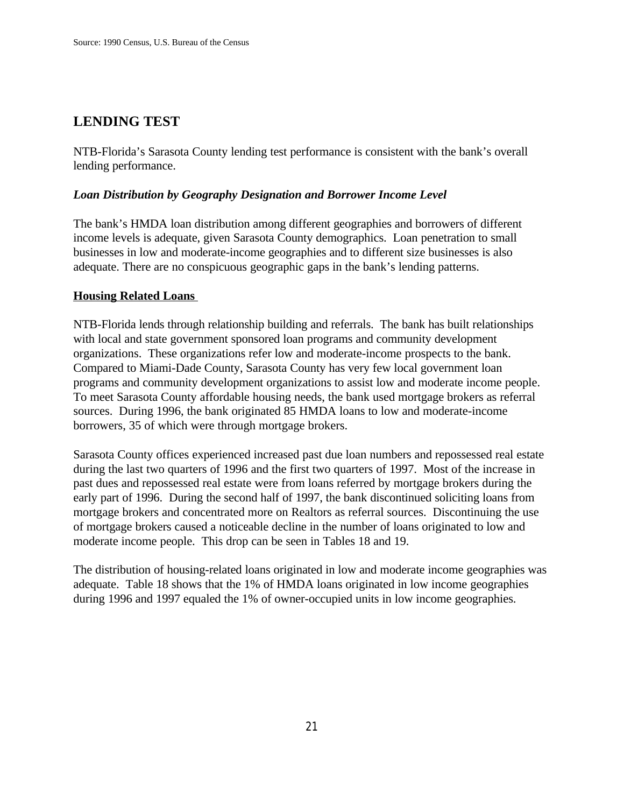# **LENDING TEST**

NTB-Florida's Sarasota County lending test performance is consistent with the bank's overall lending performance.

### *Loan Distribution by Geography Designation and Borrower Income Level*

The bank's HMDA loan distribution among different geographies and borrowers of different income levels is adequate, given Sarasota County demographics. Loan penetration to small businesses in low and moderate-income geographies and to different size businesses is also adequate. There are no conspicuous geographic gaps in the bank's lending patterns.

### **Housing Related Loans**

NTB-Florida lends through relationship building and referrals. The bank has built relationships with local and state government sponsored loan programs and community development organizations. These organizations refer low and moderate-income prospects to the bank. Compared to Miami-Dade County, Sarasota County has very few local government loan programs and community development organizations to assist low and moderate income people. To meet Sarasota County affordable housing needs, the bank used mortgage brokers as referral sources. During 1996, the bank originated 85 HMDA loans to low and moderate-income borrowers, 35 of which were through mortgage brokers.

Sarasota County offices experienced increased past due loan numbers and repossessed real estate during the last two quarters of 1996 and the first two quarters of 1997. Most of the increase in past dues and repossessed real estate were from loans referred by mortgage brokers during the early part of 1996. During the second half of 1997, the bank discontinued soliciting loans from mortgage brokers and concentrated more on Realtors as referral sources. Discontinuing the use of mortgage brokers caused a noticeable decline in the number of loans originated to low and moderate income people. This drop can be seen in Tables 18 and 19.

The distribution of housing-related loans originated in low and moderate income geographies was adequate. Table 18 shows that the 1% of HMDA loans originated in low income geographies during 1996 and 1997 equaled the 1% of owner-occupied units in low income geographies.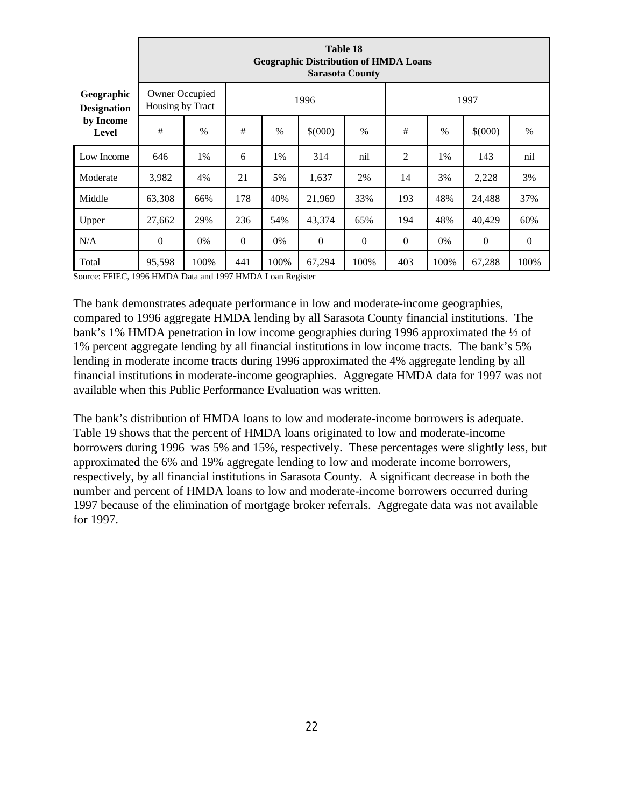|                                  |                                    | Table 18<br><b>Geographic Distribution of HMDA Loans</b><br><b>Sarasota County</b> |                |                                                          |                |              |                |       |                |          |  |  |  |  |
|----------------------------------|------------------------------------|------------------------------------------------------------------------------------|----------------|----------------------------------------------------------|----------------|--------------|----------------|-------|----------------|----------|--|--|--|--|
| Geographic<br><b>Designation</b> | Owner Occupied<br>Housing by Tract |                                                                                    |                | 1996<br>1997                                             |                |              |                |       |                |          |  |  |  |  |
| by Income<br><b>Level</b>        | #                                  | $\frac{0}{0}$                                                                      | #              | #<br>\$(000)<br>$\frac{0}{0}$<br>\$(000)<br>$\%$<br>$\%$ |                |              |                |       |                |          |  |  |  |  |
| Low Income                       | 646                                | 1%                                                                                 | 6              | 1%                                                       | 314            | nil          | $\overline{2}$ | 1%    | 143            | nil      |  |  |  |  |
| Moderate                         | 3,982                              | 4%                                                                                 | 21             | 5%                                                       | 1,637          | 2%           | 14             | 3%    | 2,228          | 3%       |  |  |  |  |
| Middle                           | 63,308                             | 66%                                                                                | 178            | 40%                                                      | 21,969         | 33%          | 193            | 48%   | 24,488         | 37%      |  |  |  |  |
| Upper                            | 27,662                             | 29%                                                                                | 236            | 54%                                                      | 43,374         | 65%          | 194            | 48%   | 40,429         | 60%      |  |  |  |  |
| N/A                              | $\mathbf{0}$                       | 0%                                                                                 | $\overline{0}$ | 0%                                                       | $\overline{0}$ | $\mathbf{0}$ | $\mathbf{0}$   | $0\%$ | $\overline{0}$ | $\theta$ |  |  |  |  |
| Total                            | 95,598                             | 100%                                                                               | 441            | 100%                                                     | 67,294         | 100%         | 403            | 100%  | 67,288         | 100%     |  |  |  |  |

Source: FFIEC, 1996 HMDA Data and 1997 HMDA Loan Register

The bank demonstrates adequate performance in low and moderate-income geographies, compared to 1996 aggregate HMDA lending by all Sarasota County financial institutions. The bank's 1% HMDA penetration in low income geographies during 1996 approximated the ½ of 1% percent aggregate lending by all financial institutions in low income tracts. The bank's 5% lending in moderate income tracts during 1996 approximated the 4% aggregate lending by all financial institutions in moderate-income geographies. Aggregate HMDA data for 1997 was not available when this Public Performance Evaluation was written.

The bank's distribution of HMDA loans to low and moderate-income borrowers is adequate. Table 19 shows that the percent of HMDA loans originated to low and moderate-income borrowers during 1996 was 5% and 15%, respectively. These percentages were slightly less, but approximated the 6% and 19% aggregate lending to low and moderate income borrowers, respectively, by all financial institutions in Sarasota County. A significant decrease in both the number and percent of HMDA loans to low and moderate-income borrowers occurred during 1997 because of the elimination of mortgage broker referrals. Aggregate data was not available for 1997.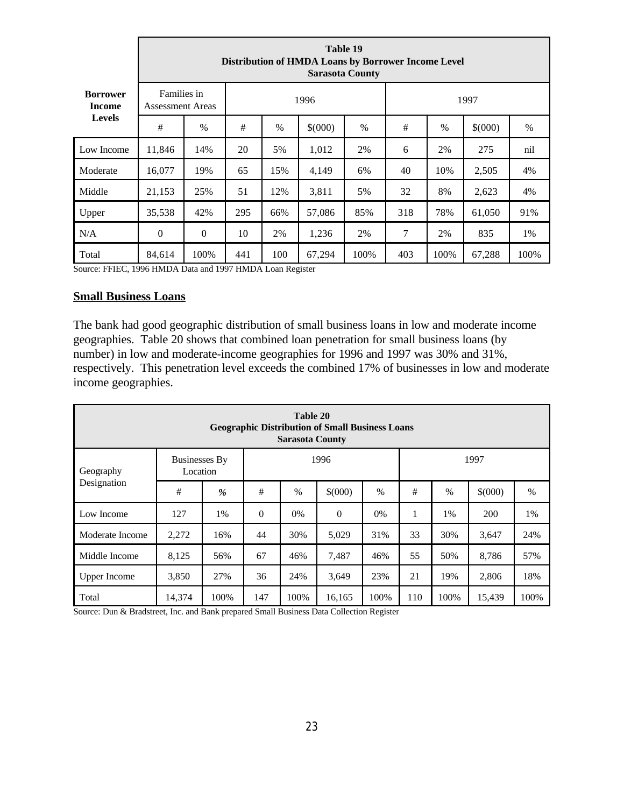|                           |                                        | Table 19<br>Distribution of HMDA Loans by Borrower Income Level<br><b>Sarasota County</b> |      |      |         |      |      |      |         |      |  |  |  |  |  |  |
|---------------------------|----------------------------------------|-------------------------------------------------------------------------------------------|------|------|---------|------|------|------|---------|------|--|--|--|--|--|--|
| <b>Borrower</b><br>Income | Families in<br><b>Assessment Areas</b> |                                                                                           | 1996 |      |         |      | 1997 |      |         |      |  |  |  |  |  |  |
| <b>Levels</b>             | #                                      | $\%$                                                                                      | #    | $\%$ | \$(000) | $\%$ | #    | $\%$ | \$(000) | $\%$ |  |  |  |  |  |  |
| Low Income                | 11,846                                 | 14%                                                                                       | 20   | 5%   | 1,012   | 2%   | 6    | 2%   | 275     | nil  |  |  |  |  |  |  |
| Moderate                  | 16,077                                 | 19%                                                                                       | 65   | 15%  | 4,149   | 6%   | 40   | 10%  | 2,505   | 4%   |  |  |  |  |  |  |
| Middle                    | 21,153                                 | 25%                                                                                       | 51   | 12%  | 3,811   | 5%   | 32   | 8%   | 2,623   | 4%   |  |  |  |  |  |  |
| Upper                     | 35,538                                 | 42%                                                                                       | 295  | 66%  | 57,086  | 85%  | 318  | 78%  | 61,050  | 91%  |  |  |  |  |  |  |
| N/A                       | $\boldsymbol{0}$                       | $\boldsymbol{0}$                                                                          | 10   | 2%   | 1,236   | 2%   | 7    | 2%   | 835     | 1%   |  |  |  |  |  |  |
| Total                     | 84,614                                 | 100%                                                                                      | 441  | 100  | 67,294  | 100% | 403  | 100% | 67,288  | 100% |  |  |  |  |  |  |

Source: FFIEC, 1996 HMDA Data and 1997 HMDA Loan Register

### **Small Business Loans**

The bank had good geographic distribution of small business loans in low and moderate income geographies. Table 20 shows that combined loan penetration for small business loans (by number) in low and moderate-income geographies for 1996 and 1997 was 30% and 31%, respectively. This penetration level exceeds the combined 17% of businesses in low and moderate income geographies.

|                     |                                  |      |          | Table 20<br><b>Sarasota County</b> | <b>Geographic Distribution of Small Business Loans</b> |       |      |      |         |      |
|---------------------|----------------------------------|------|----------|------------------------------------|--------------------------------------------------------|-------|------|------|---------|------|
| Geography           | <b>Businesses By</b><br>Location |      |          |                                    | 1996                                                   |       |      |      | 1997    |      |
| Designation         | #                                | %    | #        | $\%$                               | \$(000)                                                | $\%$  | $\#$ | $\%$ | \$(000) | $\%$ |
| Low Income          | 127                              | 1%   | $\theta$ | 0%                                 | $\mathbf{0}$                                           | $0\%$ | 1    | 1%   | 200     | 1%   |
| Moderate Income     | 2,272                            | 16%  | 44       | 30%                                | 5,029                                                  | 31%   | 33   | 30%  | 3,647   | 24%  |
| Middle Income       | 8,125                            | 56%  | 67       | 46%                                | 7,487                                                  | 46%   | 55   | 50%  | 8,786   | 57%  |
| <b>Upper Income</b> | 3,850                            | 27%  | 36       | 24%                                | 3,649                                                  | 23%   | 21   | 19%  | 2,806   | 18%  |
| Total               | 14,374                           | 100% | 147      | 100%                               | 16,165                                                 | 100%  | 110  | 100% | 15.439  | 100% |

Source: Dun & Bradstreet, Inc. and Bank prepared Small Business Data Collection Register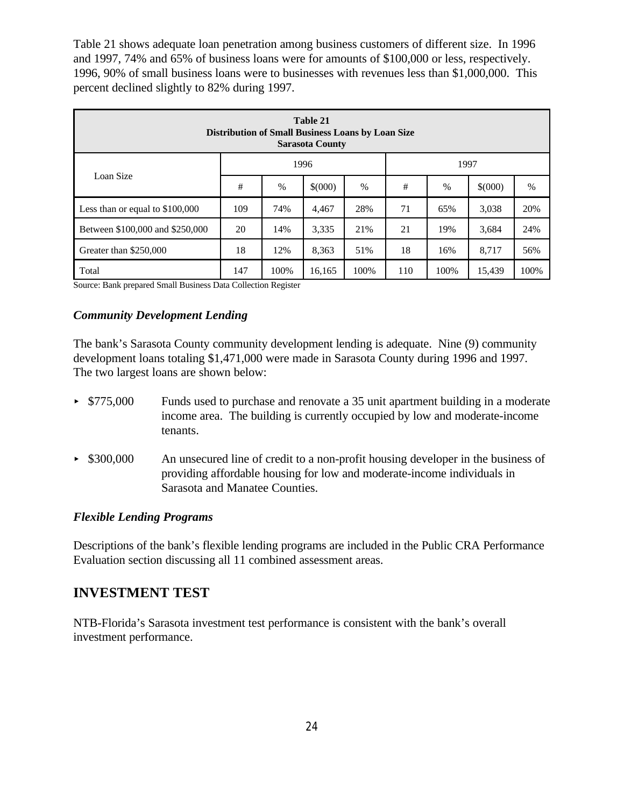Table 21 shows adequate loan penetration among business customers of different size. In 1996 and 1997, 74% and 65% of business loans were for amounts of \$100,000 or less, respectively. 1996, 90% of small business loans were to businesses with revenues less than \$1,000,000. This percent declined slightly to 82% during 1997.

|                                  | Table 21<br><b>Distribution of Small Business Loans by Loan Size</b><br><b>Sarasota County</b> |               |         |      |     |       |         |      |  |  |  |  |  |
|----------------------------------|------------------------------------------------------------------------------------------------|---------------|---------|------|-----|-------|---------|------|--|--|--|--|--|
|                                  |                                                                                                |               | 1996    |      |     | 1997  |         |      |  |  |  |  |  |
| Loan Size                        | #                                                                                              | $\frac{0}{0}$ | \$(000) | $\%$ | #   | $\%$  | \$(000) | %    |  |  |  |  |  |
| Less than or equal to $$100,000$ | 109                                                                                            | 74%           | 4,467   | 28%  | 71  | 65%   | 3,038   | 20%  |  |  |  |  |  |
| Between \$100,000 and \$250,000  | 20                                                                                             | 14%           | 3,335   | 21%  | 21  | 19%   | 3,684   | 24%  |  |  |  |  |  |
| Greater than \$250,000           | 18                                                                                             | 12%           | 8,363   | 51%  | 18  | 16%   | 8,717   | 56%  |  |  |  |  |  |
| Total                            | 147                                                                                            | 100%          | 16,165  | 100% | 110 | 100\% | 15,439  | 100% |  |  |  |  |  |

Source: Bank prepared Small Business Data Collection Register

### *Community Development Lending*

The bank's Sarasota County community development lending is adequate. Nine (9) community development loans totaling \$1,471,000 were made in Sarasota County during 1996 and 1997. The two largest loans are shown below:

- ► \$775,000 Funds used to purchase and renovate a 35 unit apartment building in a moderate income area. The building is currently occupied by low and moderate-income tenants.
- $\triangleright$  \$300,000 An unsecured line of credit to a non-profit housing developer in the business of providing affordable housing for low and moderate-income individuals in Sarasota and Manatee Counties.

### *Flexible Lending Programs*

Descriptions of the bank's flexible lending programs are included in the Public CRA Performance Evaluation section discussing all 11 combined assessment areas.

### **INVESTMENT TEST**

NTB-Florida's Sarasota investment test performance is consistent with the bank's overall investment performance.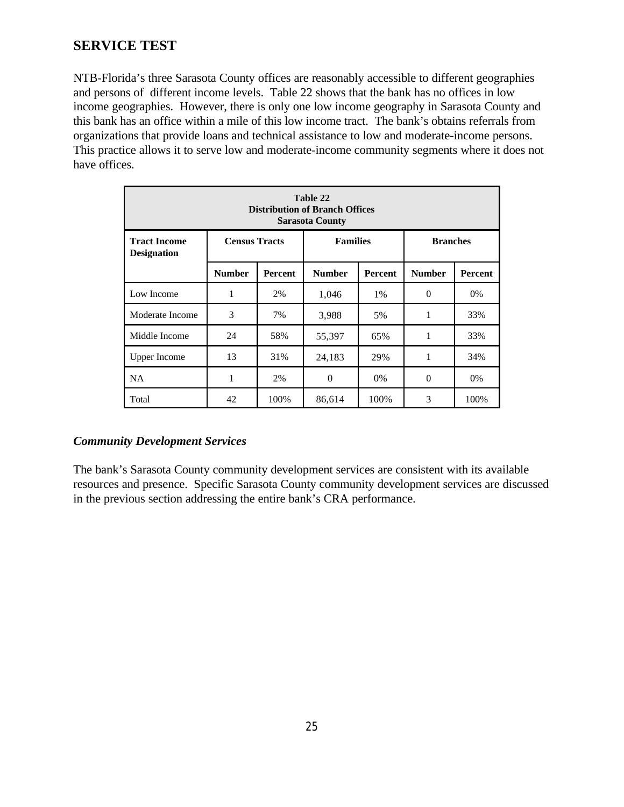# **SERVICE TEST**

NTB-Florida's three Sarasota County offices are reasonably accessible to different geographies and persons of different income levels. Table 22 shows that the bank has no offices in low income geographies. However, there is only one low income geography in Sarasota County and this bank has an office within a mile of this low income tract. The bank's obtains referrals from organizations that provide loans and technical assistance to low and moderate-income persons. This practice allows it to serve low and moderate-income community segments where it does not have offices.

|                                                                                                         | Table 22<br><b>Distribution of Branch Offices</b><br><b>Sarasota County</b> |                |               |                |               |         |  |  |  |  |  |  |  |
|---------------------------------------------------------------------------------------------------------|-----------------------------------------------------------------------------|----------------|---------------|----------------|---------------|---------|--|--|--|--|--|--|--|
| <b>Census Tracts</b><br><b>Families</b><br><b>Tract Income</b><br><b>Branches</b><br><b>Designation</b> |                                                                             |                |               |                |               |         |  |  |  |  |  |  |  |
|                                                                                                         | <b>Number</b>                                                               | <b>Percent</b> | <b>Number</b> | <b>Percent</b> | <b>Number</b> | Percent |  |  |  |  |  |  |  |
| Low Income                                                                                              | 1                                                                           | 2%             | 1,046         | 1%             | $\Omega$      | 0%      |  |  |  |  |  |  |  |
| Moderate Income                                                                                         | 3                                                                           | 7%             | 3,988         | 5%             | 1             | 33%     |  |  |  |  |  |  |  |
| Middle Income                                                                                           | 24                                                                          | 58%            | 55,397        | 65%            | 1             | 33%     |  |  |  |  |  |  |  |
| <b>Upper Income</b>                                                                                     | 13                                                                          | 31%            | 24,183        | 29%            | 1             | 34%     |  |  |  |  |  |  |  |
| <b>NA</b>                                                                                               | 1                                                                           | 2%             | $\theta$      | 0%             | $\Omega$      | 0%      |  |  |  |  |  |  |  |
| Total                                                                                                   | 42                                                                          | 100%           | 86,614        | 100%           | 3             | 100%    |  |  |  |  |  |  |  |

### *Community Development Services*

The bank's Sarasota County community development services are consistent with its available resources and presence. Specific Sarasota County community development services are discussed in the previous section addressing the entire bank's CRA performance.